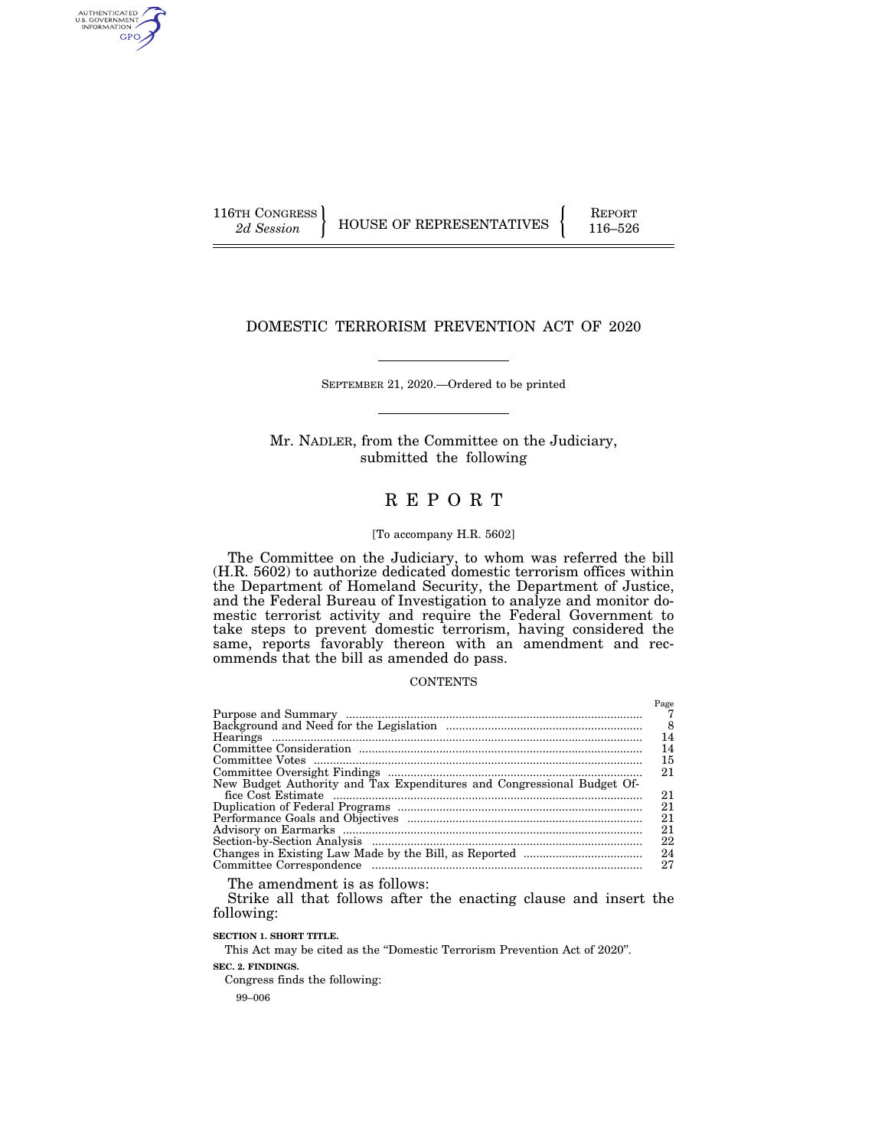AUTHENTICATED<br>U.S. GOVERNMENT<br>INFORMATION GPO

## DOMESTIC TERRORISM PREVENTION ACT OF 2020

SEPTEMBER 21, 2020.—Ordered to be printed

Mr. NADLER, from the Committee on the Judiciary, submitted the following

## R E P O R T

### [To accompany H.R. 5602]

The Committee on the Judiciary, to whom was referred the bill (H.R. 5602) to authorize dedicated domestic terrorism offices within the Department of Homeland Security, the Department of Justice, and the Federal Bureau of Investigation to analyze and monitor domestic terrorist activity and require the Federal Government to take steps to prevent domestic terrorism, having considered the same, reports favorably thereon with an amendment and recommends that the bill as amended do pass.

### **CONTENTS**

|                                                                        | Page |
|------------------------------------------------------------------------|------|
|                                                                        |      |
|                                                                        | - 8  |
|                                                                        | 14   |
|                                                                        | 14   |
|                                                                        | 15   |
|                                                                        | 21   |
| New Budget Authority and Tax Expenditures and Congressional Budget Of- |      |
|                                                                        | 21   |
|                                                                        | 21   |
|                                                                        | 21   |
|                                                                        | 21   |
|                                                                        | 22   |
|                                                                        | 24   |
|                                                                        | 27   |

The amendment is as follows:

Strike all that follows after the enacting clause and insert the following:

**SECTION 1. SHORT TITLE.** 

This Act may be cited as the ''Domestic Terrorism Prevention Act of 2020''.

**SEC. 2. FINDINGS.** 

Congress finds the following:

99–006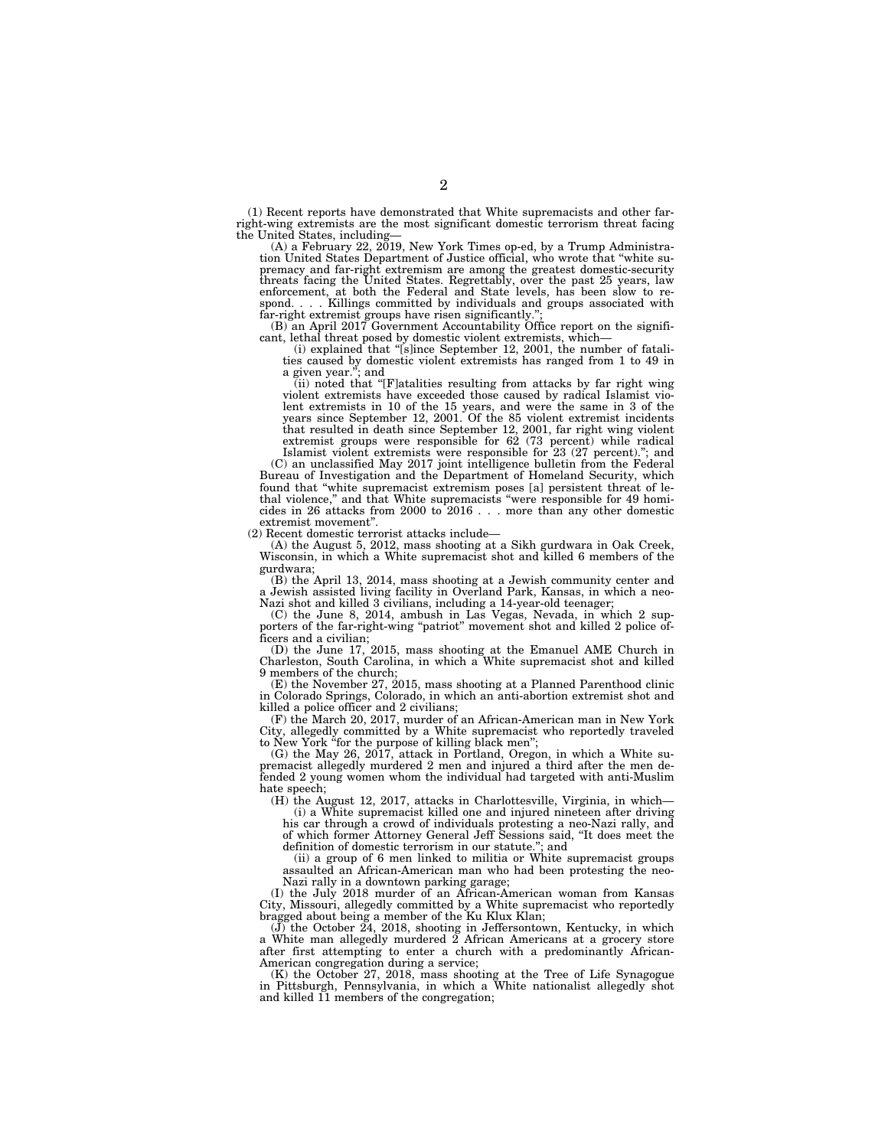(1) Recent reports have demonstrated that White supremacists and other farright-wing extremists are the most significant domestic terrorism threat facing the United States, including—

(A) a February 22, 2019, New York Times op-ed, by a Trump Administration United States Department of Justice official, who wrote that ''white supremacy and far-right extremism are among the greatest domestic-security threats facing the United States. Regrettably, over the past 25 years, law enforcement, at both the Federal and State levels, has been slow to respond. . . . Killings committed by individuals and groups associated with

far-right extremist groups have risen significantly.''; (B) an April 2017 Government Accountability Office report on the significant, lethal threat posed by domestic violent extremists, which— (i) explained that ''[s]ince September 12, 2001, the number of fatali-

ties caused by domestic violent extremists has ranged from 1 to 49 in a given year.''; and

(ii) noted that ''[F]atalities resulting from attacks by far right wing violent extremists have exceeded those caused by radical Islamist violent extremists in 10 of the 15 years, and were the same in 3 of the years since September 12, 2001. Of the 85 violent extremist incidents that resulted in death since September 12, 2001, far right wing violent extremist groups were responsible for 62 (73 percent) while radical Islamist violent extremists were responsible for 23 (27 percent).''; and

(C) an unclassified May 2017 joint intelligence bulletin from the Federal Bureau of Investigation and the Department of Homeland Security, which found that ''white supremacist extremism poses [a] persistent threat of lethal violence,'' and that White supremacists ''were responsible for 49 homicides in 26 attacks from 2000 to 2016 . . . more than any other domestic extremist movement''.

(2) Recent domestic terrorist attacks include—

(A) the August 5, 2012, mass shooting at a Sikh gurdwara in Oak Creek, Wisconsin, in which a White supremacist shot and killed 6 members of the gurdwara;

(B) the April 13, 2014, mass shooting at a Jewish community center and Jewish assisted living facility in Overland Park, Kansas, in which a neo-Nazi shot and killed 3 civilians, including a 14-year-old teenager;

(C) the June 8, 2014, ambush in Las Vegas, Nevada, in which 2 supporters of the far-right-wing ''patriot'' movement shot and killed 2 police officers and a civilian;

(D) the June 17, 2015, mass shooting at the Emanuel AME Church in Charleston, South Carolina, in which a White supremacist shot and killed 9 members of the church;

(E) the November 27, 2015, mass shooting at a Planned Parenthood clinic in Colorado Springs, Colorado, in which an anti-abortion extremist shot and killed a police officer and 2 civilians;

(F) the March 20, 2017, murder of an African-American man in New York City, allegedly committed by a White supremacist who reportedly traveled to New York ''for the purpose of killing black men'';

(G) the May 26, 2017, attack in Portland, Oregon, in which a White supremacist allegedly murdered 2 men and injured a third after the men defended 2 young women whom the individual had targeted with anti-Muslim hate speech:

(H) the August 12, 2017, attacks in Charlottesville, Virginia, in which—

(i) a White supremacist killed one and injured nineteen after driving his car through a crowd of individuals protesting a neo-Nazi rally, and of which former Attorney General Jeff Sessions said, ''It does meet the definition of domestic terrorism in our statute.''; and

(ii) a group of 6 men linked to militia or White supremacist groups assaulted an African-American man who had been protesting the neo-Nazi rally in a downtown parking garage;

(I) the July 2018 murder of an African-American woman from Kansas City, Missouri, allegedly committed by a White supremacist who reportedly bragged about being a member of the Ku Klux Klan;

(J) the October 24, 2018, shooting in Jeffersontown, Kentucky, in which a White man allegedly murdered 2 African Americans at a grocery store after first attempting to enter a church with a predominantly African-American congregation during a service;

(K) the October 27, 2018, mass shooting at the Tree of Life Synagogue in Pittsburgh, Pennsylvania, in which a White nationalist allegedly shot and killed 11 members of the congregation;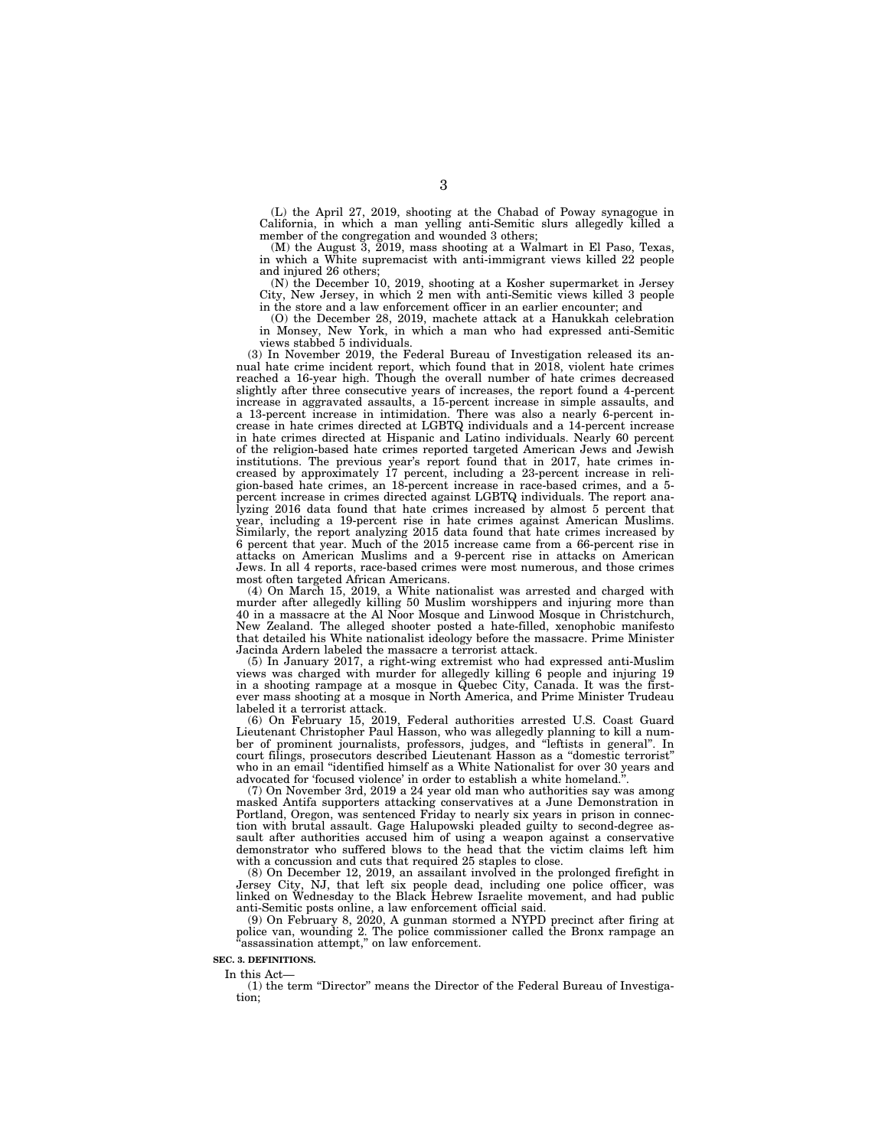(L) the April 27, 2019, shooting at the Chabad of Poway synagogue in California, in which a man yelling anti-Semitic slurs allegedly killed a member of the congregation and wounded 3 others;

(M) the August 3, 2019, mass shooting at a Walmart in El Paso, Texas, in which a White supremacist with anti-immigrant views killed 22 people and injured 26 others;

(N) the December 10, 2019, shooting at a Kosher supermarket in Jersey City, New Jersey, in which 2 men with anti-Semitic views killed 3 people in the store and a law enforcement officer in an earlier encounter; and

(O) the December 28, 2019, machete attack at a Hanukkah celebration in Monsey, New York, in which a man who had expressed anti-Semitic views stabbed 5 individuals.

(3) In November 2019, the Federal Bureau of Investigation released its annual hate crime incident report, which found that in 2018, violent hate crimes reached a 16-year high. Though the overall number of hate crimes decreased slightly after three consecutive years of increases, the report found a 4-percent increase in aggravated assaults, a 15-percent increase in simple assaults, and a 13-percent increase in intimidation. There was also a nearly 6-percent increase in hate crimes directed at LGBTQ individuals and a 14-percent increase in hate crimes directed at Hispanic and Latino individuals. Nearly 60 percent of the religion-based hate crimes reported targeted American Jews and Jewish institutions. The previous year's report found that in 2017, hate crimes increased by approximately 17 percent, including a 23-percent increase in religion-based hate crimes, an 18-percent increase in race-based crimes, and a 5 percent increase in crimes directed against LGBTQ individuals. The report analyzing 2016 data found that hate crimes increased by almost 5 percent that year, including a 19-percent rise in hate crimes against American Muslims. Similarly, the report analyzing 2015 data found that hate crimes increased by 6 percent that year. Much of the 2015 increase came from a 66-percent rise in attacks on American Muslims and a 9-percent rise in attacks on American Jews. In all 4 reports, race-based crimes were most numerous, and those crimes most often targeted African Americans.

(4) On March 15, 2019, a White nationalist was arrested and charged with murder after allegedly killing 50 Muslim worshippers and injuring more than 40 in a massacre at the Al Noor Mosque and Linwood Mosque in Christchurch, New Zealand. The alleged shooter posted a hate-filled, xenophobic manifesto that detailed his White nationalist ideology before the massacre. Prime Minister Jacinda Ardern labeled the massacre a terrorist attack.

(5) In January 2017, a right-wing extremist who had expressed anti-Muslim views was charged with murder for allegedly killing 6 people and injuring 19 in a shooting rampage at a mosque in Quebec City, Canada. It was the firstever mass shooting at a mosque in North America, and Prime Minister Trudeau labeled it a terrorist attack.

(6) On February 15, 2019, Federal authorities arrested U.S. Coast Guard Lieutenant Christopher Paul Hasson, who was allegedly planning to kill a number of prominent journalists, professors, judges, and ''leftists in general''. In court filings, prosecutors described Lieutenant Hasson as a ''domestic terrorist'' who in an email ''identified himself as a White Nationalist for over 30 years and advocated for 'focused violence' in order to establish a white homeland.'

(7) On November 3rd, 2019 a 24 year old man who authorities say was among masked Antifa supporters attacking conservatives at a June Demonstration in Portland, Oregon, was sentenced Friday to nearly six years in prison in connection with brutal assault. Gage Halupowski pleaded guilty to second-degree assault after authorities accused him of using a weapon against a conservative demonstrator who suffered blows to the head that the victim claims left him with a concussion and cuts that required 25 staples to close.

(8) On December 12, 2019, an assailant involved in the prolonged firefight in Jersey City, NJ, that left six people dead, including one police officer, was linked on Wednesday to the Black Hebrew Israelite movement, and had public anti-Semitic posts online, a law enforcement official said.

(9) On February 8, 2020, A gunman stormed a NYPD precinct after firing at police van, wounding 2. The police commissioner called the Bronx rampage an "assassination attempt," on law enforcement.

### **SEC. 3. DEFINITIONS.**

In this Act—

(1) the term "Director" means the Director of the Federal Bureau of Investigation;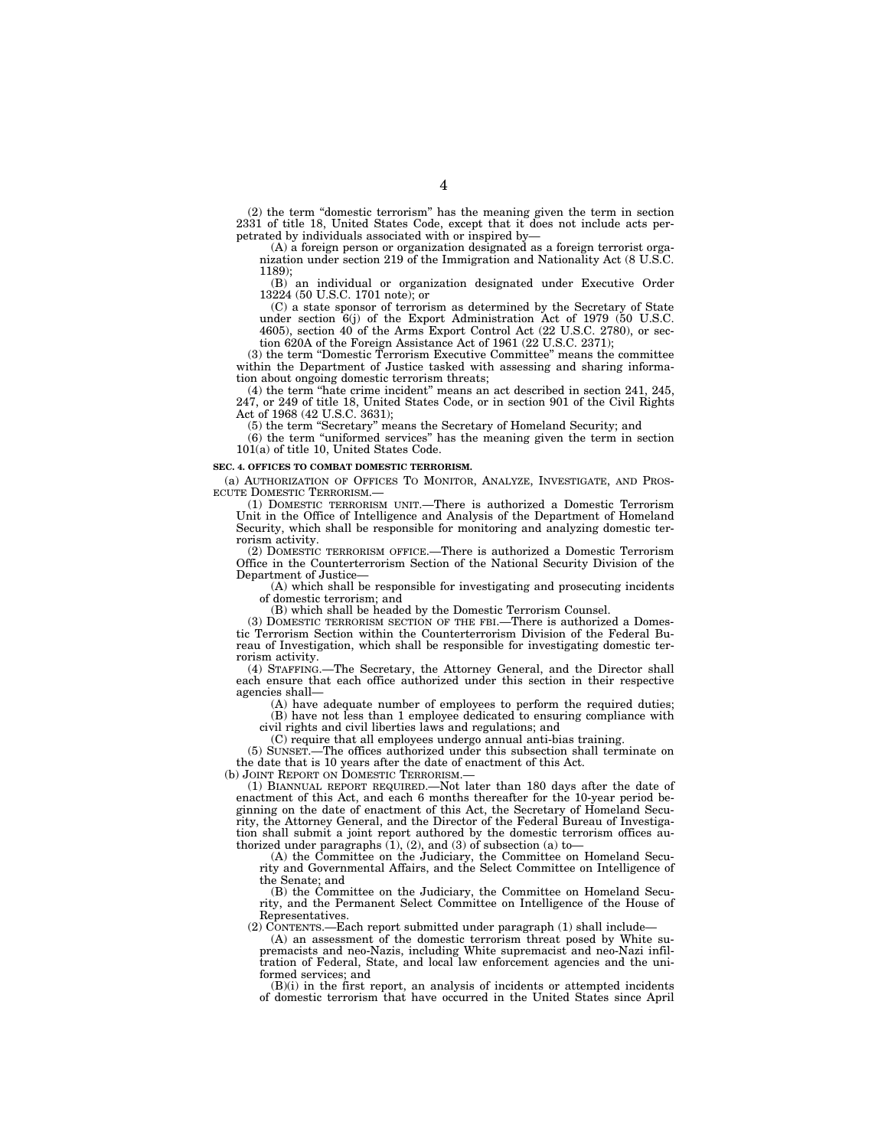(2) the term ''domestic terrorism'' has the meaning given the term in section 2331 of title 18, United States Code, except that it does not include acts perpetrated by individuals associated with or inspired by—

(A) a foreign person or organization designated as a foreign terrorist organization under section 219 of the Immigration and Nationality Act (8 U.S.C. 1189);

(B) an individual or organization designated under Executive Order 13224 (50 U.S.C. 1701 note); or

(C) a state sponsor of terrorism as determined by the Secretary of State under section 6(j) of the Export Administration Act of 1979 (50 U.S.C. 4605), section 40 of the Arms Export Control Act (22 U.S.C. 2780), or section 620A of the Foreign Assistance Act of 1961 (22 U.S.C. 2371);

(3) the term ''Domestic Terrorism Executive Committee'' means the committee within the Department of Justice tasked with assessing and sharing information about ongoing domestic terrorism threats;

(4) the term ''hate crime incident'' means an act described in section 241, 245, 247, or 249 of title 18, United States Code, or in section 901 of the Civil Rights Act of 1968 (42 U.S.C. 3631);

(5) the term ''Secretary'' means the Secretary of Homeland Security; and

(6) the term ''uniformed services'' has the meaning given the term in section 101(a) of title 10, United States Code.

### **SEC. 4. OFFICES TO COMBAT DOMESTIC TERRORISM.**

(a) AUTHORIZATION OF OFFICES TO MONITOR, ANALYZE, INVESTIGATE, AND PROS-ECUTE DOMESTIC TERRORISM.

(1) DOMESTIC TERRORISM UNIT.—There is authorized a Domestic Terrorism Unit in the Office of Intelligence and Analysis of the Department of Homeland Security, which shall be responsible for monitoring and analyzing domestic terrorism activity.

(2) DOMESTIC TERRORISM OFFICE.—There is authorized a Domestic Terrorism Office in the Counterterrorism Section of the National Security Division of the Department of Justice—

(A) which shall be responsible for investigating and prosecuting incidents of domestic terrorism; and

(B) which shall be headed by the Domestic Terrorism Counsel.

(3) DOMESTIC TERRORISM SECTION OF THE FBI.—There is authorized a Domestic Terrorism Section within the Counterterrorism Division of the Federal Bureau of Investigation, which shall be responsible for investigating domestic ter-

rorism activity.<br>(4) STAFFING. -The Secretary, the Attorney General, and the Director shall each ensure that each office authorized under this section in their respective agencies shall—

(A) have adequate number of employees to perform the required duties; (B) have not less than 1 employee dedicated to ensuring compliance with

civil rights and civil liberties laws and regulations; and

(C) require that all employees undergo annual anti-bias training.

(5) SUNSET.—The offices authorized under this subsection shall terminate on the date that is 10 years after the date of enactment of this Act.

(b) JOINT REPORT ON DOMESTIC TERRORISM.

(1) BIANNUAL REPORT REQUIRED.—Not later than 180 days after the date of enactment of this Act, and each 6 months thereafter for the 10-year period beginning on the date of enactment of this Act, the Secretary of Homeland Security, the Attorney General, and the Director of the Federal Bureau of Investigation shall submit a joint report authored by the domestic terrorism offices authorized under paragraphs  $(1)$ ,  $(2)$ , and  $(3)$  of subsection  $(a)$  to-

(A) the Committee on the Judiciary, the Committee on Homeland Security and Governmental Affairs, and the Select Committee on Intelligence of the Senate; and

(B) the Committee on the Judiciary, the Committee on Homeland Security, and the Permanent Select Committee on Intelligence of the House of Representatives.

(2) CONTENTS.—Each report submitted under paragraph (1) shall include—

(A) an assessment of the domestic terrorism threat posed by White supremacists and neo-Nazis, including White supremacist and neo-Nazi infiltration of Federal, State, and local law enforcement agencies and the uniformed services; and

(B)(i) in the first report, an analysis of incidents or attempted incidents of domestic terrorism that have occurred in the United States since April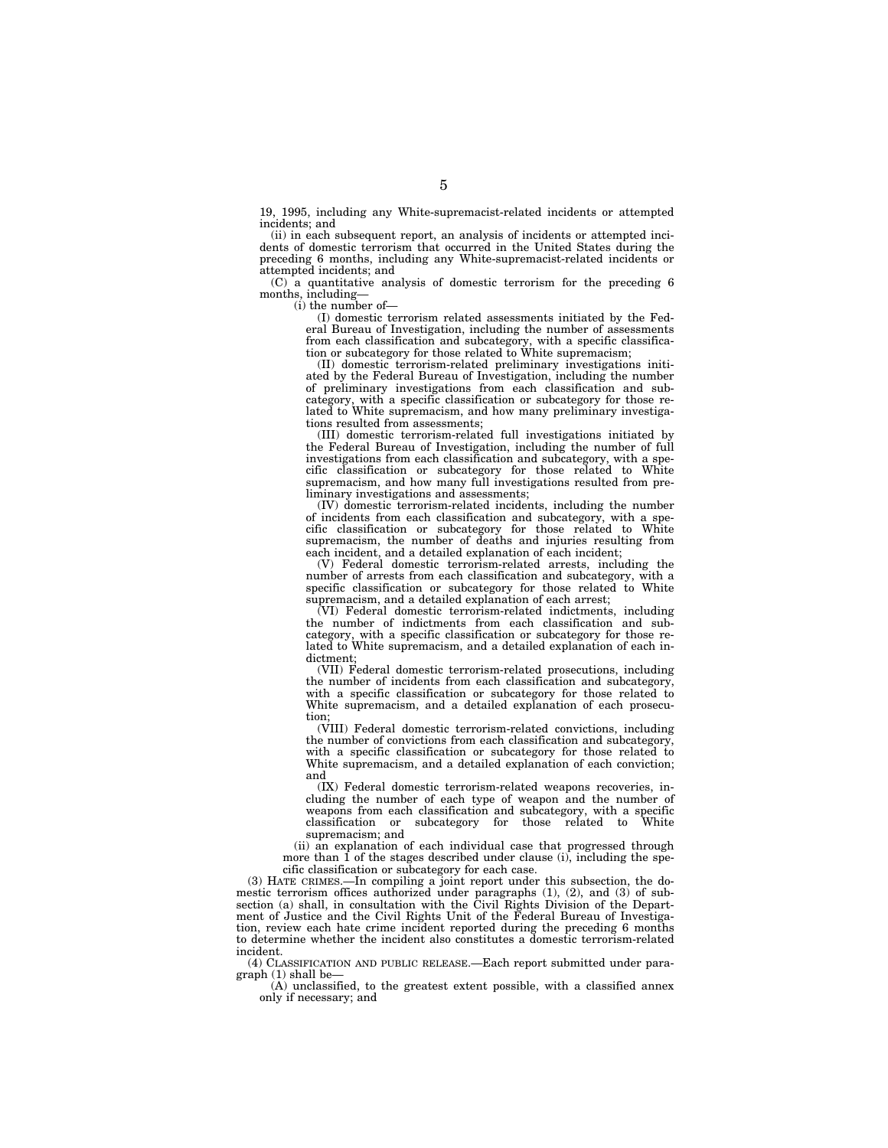19, 1995, including any White-supremacist-related incidents or attempted incidents; and

(ii) in each subsequent report, an analysis of incidents or attempted incidents of domestic terrorism that occurred in the United States during the preceding 6 months, including any White-supremacist-related incidents or attempted incidents; and

(C) a quantitative analysis of domestic terrorism for the preceding 6 months, including—

(i) the number of—

(I) domestic terrorism related assessments initiated by the Federal Bureau of Investigation, including the number of assessments from each classification and subcategory, with a specific classification or subcategory for those related to White supremacism;

(II) domestic terrorism-related preliminary investigations initiated by the Federal Bureau of Investigation, including the number of preliminary investigations from each classification and subcategory, with a specific classification or subcategory for those related to White supremacism, and how many preliminary investigations resulted from assessments;

(III) domestic terrorism-related full investigations initiated by the Federal Bureau of Investigation, including the number of full investigations from each classification and subcategory, with a specific classification or subcategory for those related to White supremacism, and how many full investigations resulted from preliminary investigations and assessments;

(IV) domestic terrorism-related incidents, including the number of incidents from each classification and subcategory, with a specific classification or subcategory for those related to White supremacism, the number of deaths and injuries resulting from each incident, and a detailed explanation of each incident;

(V) Federal domestic terrorism-related arrests, including the number of arrests from each classification and subcategory, with a specific classification or subcategory for those related to White supremacism, and a detailed explanation of each arrest;

(VI) Federal domestic terrorism-related indictments, including the number of indictments from each classification and subcategory, with a specific classification or subcategory for those related to White supremacism, and a detailed explanation of each indictment;

(VII) Federal domestic terrorism-related prosecutions, including the number of incidents from each classification and subcategory, with a specific classification or subcategory for those related to White supremacism, and a detailed explanation of each prosecution;

(VIII) Federal domestic terrorism-related convictions, including the number of convictions from each classification and subcategory, with a specific classification or subcategory for those related to White supremacism, and a detailed explanation of each conviction; and

(IX) Federal domestic terrorism-related weapons recoveries, including the number of each type of weapon and the number of weapons from each classification and subcategory, with a specific<br>classification or subcategory for those related to White classification or subcategory for those related to supremacism; and

(ii) an explanation of each individual case that progressed through more than  $\hat{1}$  of the stages described under clause (i), including the specific classification or subcategory for each case.

(3) HATE CRIMES.—In compiling a joint report under this subsection, the domestic terrorism offices authorized under paragraphs  $(1)$ ,  $(2)$ , and  $(3)$  of subsection (a) shall, in consultation with the Civil Rights Division of the Department of Justice and the Civil Rights Unit of the Federal Bureau of Investigation, review each hate crime incident reported during the preceding 6 months to determine whether the incident also constitutes a domestic terrorism-related incident.

(4) CLASSIFICATION AND PUBLIC RELEASE.—Each report submitted under paragraph (1) shall be—

(A) unclassified, to the greatest extent possible, with a classified annex only if necessary; and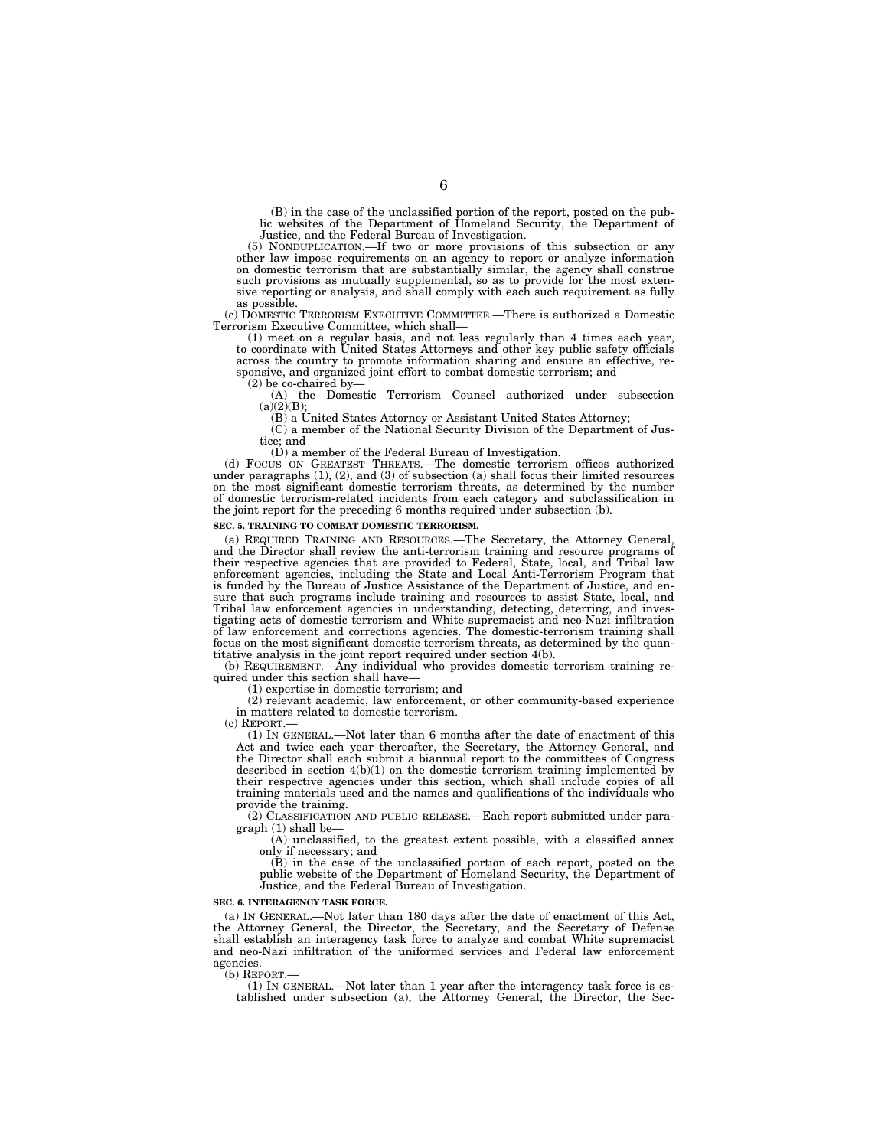(B) in the case of the unclassified portion of the report, posted on the pub-lic websites of the Department of Homeland Security, the Department of Justice, and the Federal Bureau of Investigation.

(5) NONDUPLICATION.—If two or more provisions of this subsection or any other law impose requirements on an agency to report or analyze information on domestic terrorism that are substantially similar, the agency shall construe such provisions as mutually supplemental, so as to provide for the most extensive reporting or analysis, and shall comply with each such requirement as fully as possible.

(c) DOMESTIC TERRORISM EXECUTIVE COMMITTEE.—There is authorized a Domestic Terrorism Executive Committee, which shall—

(1) meet on a regular basis, and not less regularly than 4 times each year, to coordinate with United States Attorneys and other key public safety officials across the country to promote information sharing and ensure an effective, responsive, and organized joint effort to combat domestic terrorism; and (2) be co-chaired by—

(A) the Domestic Terrorism Counsel authorized under subsection  $(a)(2)(B);$ 

(B) a United States Attorney or Assistant United States Attorney;

(C) a member of the National Security Division of the Department of Justice; and

(D) a member of the Federal Bureau of Investigation. (d) FOCUS ON GREATEST THREATS.—The domestic terrorism offices authorized under paragraphs  $(1)$ ,  $(2)$ , and  $(3)$  of subsection  $(a)$  shall focus their limited resources on the most significant domestic terrorism threats, as determined by the number of domestic terrorism-related incidents from each category and subclassification in the joint report for the preceding 6 months required under subsection (b).

### **SEC. 5. TRAINING TO COMBAT DOMESTIC TERRORISM.**

(a) REQUIRED TRAINING AND RESOURCES.—The Secretary, the Attorney General, and the Director shall review the anti-terrorism training and resource programs of their respective agencies that are provided to Federal, State, local, and Tribal law enforcement agencies, including the State and Local Anti-Terrorism Program that is funded by the Bureau of Justice Assistance of the Department of Justice, and ensure that such programs include training and resources to assist State, local, and Tribal law enforcement agencies in understanding, detecting, deterring, and investigating acts of domestic terrorism and White supremacist and neo-Nazi infiltration of law enforcement and corrections agencies. The domestic-terrorism training shall focus on the most significant domestic terrorism threats, as determined by the quan-

titative analysis in the joint report required under section 4(b). (b) REQUIREMENT.—Any individual who provides domestic terrorism training required under this section shall have-

(1) expertise in domestic terrorism; and

(2) relevant academic, law enforcement, or other community-based experience in matters related to domestic terrorism.

(c) REPORT.—

(1) IN GENERAL.—Not later than 6 months after the date of enactment of this Act and twice each year thereafter, the Secretary, the Attorney General, and the Director shall each submit a biannual report to the committees of Congress described in section  $4(b)(1)$  on the domestic terrorism training implemented by their respective agencies under this section, which shall include copies of all training materials used and the names and qualifications of the individuals who provide the training.

(2) CLASSIFICATION AND PUBLIC RELEASE.—Each report submitted under paragraph (1) shall be—

(A) unclassified, to the greatest extent possible, with a classified annex only if necessary; and

(B) in the case of the unclassified portion of each report, posted on the public website of the Department of Homeland Security, the Department of Justice, and the Federal Bureau of Investigation.

### **SEC. 6. INTERAGENCY TASK FORCE.**

(a) IN GENERAL.—Not later than 180 days after the date of enactment of this Act, the Attorney General, the Director, the Secretary, and the Secretary of Defense shall establish an interagency task force to analyze and combat White supremacist and neo-Nazi infiltration of the uniformed services and Federal law enforcement agencies.

(b) REPORT.

(1) IN GENERAL.—Not later than 1 year after the interagency task force is established under subsection (a), the Attorney General, the Director, the Sec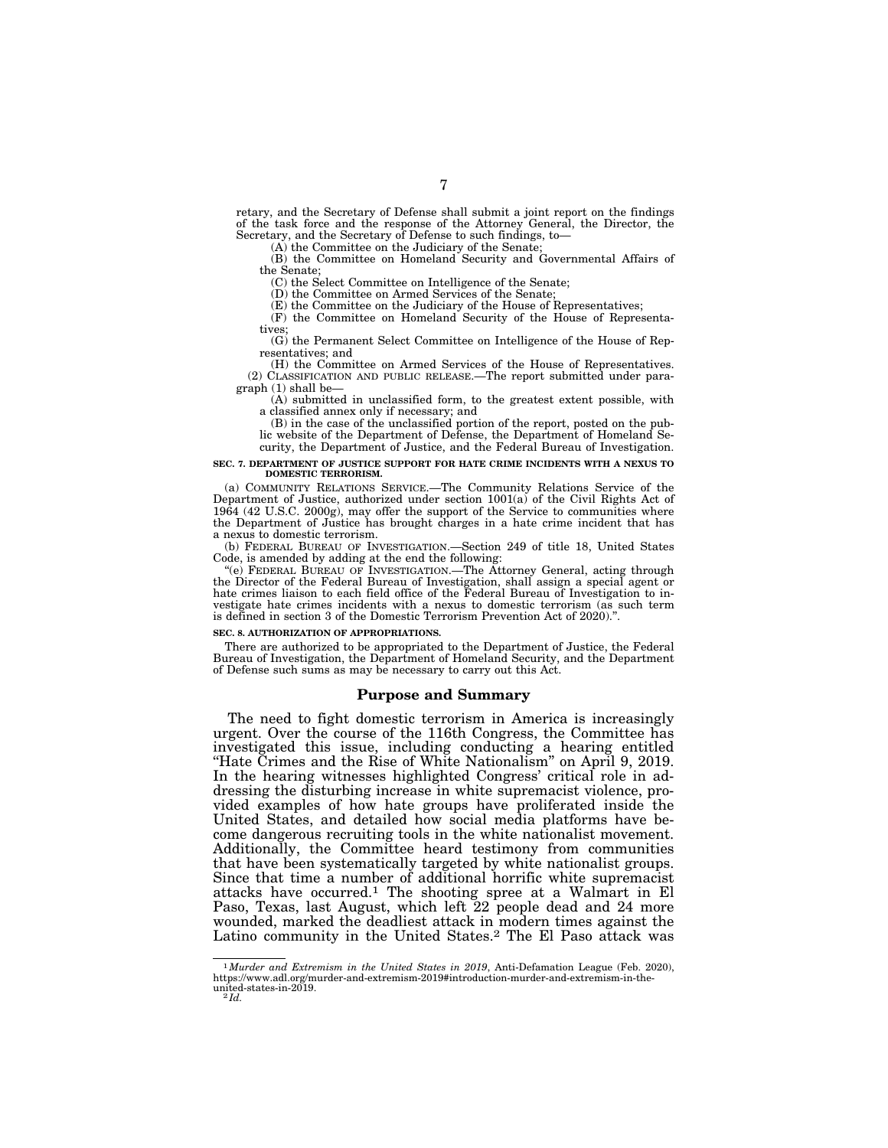retary, and the Secretary of Defense shall submit a joint report on the findings of the task force and the response of the Attorney General, the Director, the Secretary, and the Secretary of Defense to such findings, to—

(A) the Committee on the Judiciary of the Senate;

(B) the Committee on Homeland Security and Governmental Affairs of the Senate;

(C) the Select Committee on Intelligence of the Senate;

(D) the Committee on Armed Services of the Senate;

(E) the Committee on the Judiciary of the House of Representatives;

(F) the Committee on Homeland Security of the House of Representatives

(G) the Permanent Select Committee on Intelligence of the House of Representatives; and

(H) the Committee on Armed Services of the House of Representatives. (2) CLASSIFICATION AND PUBLIC RELEASE.—The report submitted under paragraph (1) shall be—

(A) submitted in unclassified form, to the greatest extent possible, with a classified annex only if necessary; and

(B) in the case of the unclassified portion of the report, posted on the public website of the Department of Defense, the Department of Homeland Security, the Department of Justice, and the Federal Bureau of Investigation.

#### **SEC. 7. DEPARTMENT OF JUSTICE SUPPORT FOR HATE CRIME INCIDENTS WITH A NEXUS TO DOMESTIC TERRORISM.**

(a) COMMUNITY RELATIONS SERVICE.—The Community Relations Service of the Department of Justice, authorized under section 1001(a) of the Civil Rights Act of 1964 (42 U.S.C. 2000g), may offer the support of the Service to communities where the Department of Justice has brought charges in a hate crime incident that has a nexus to domestic terrorism.

(b) FEDERAL BUREAU OF INVESTIGATION.—Section 249 of title 18, United States Code, is amended by adding at the end the following:

''(e) FEDERAL BUREAU OF INVESTIGATION.—The Attorney General, acting through the Director of the Federal Bureau of Investigation, shall assign a special agent or hate crimes liaison to each field office of the Federal Bureau of Investigation to investigate hate crimes incidents with a nexus to domestic terrorism (as such term is defined in section 3 of the Domestic Terrorism Prevention Act of 2020).''.

### **SEC. 8. AUTHORIZATION OF APPROPRIATIONS.**

There are authorized to be appropriated to the Department of Justice, the Federal Bureau of Investigation, the Department of Homeland Security, and the Department of Defense such sums as may be necessary to carry out this Act.

### **Purpose and Summary**

The need to fight domestic terrorism in America is increasingly urgent. Over the course of the 116th Congress, the Committee has investigated this issue, including conducting a hearing entitled ''Hate Crimes and the Rise of White Nationalism'' on April 9, 2019. In the hearing witnesses highlighted Congress' critical role in addressing the disturbing increase in white supremacist violence, provided examples of how hate groups have proliferated inside the United States, and detailed how social media platforms have become dangerous recruiting tools in the white nationalist movement. Additionally, the Committee heard testimony from communities that have been systematically targeted by white nationalist groups. Since that time a number of additional horrific white supremacist attacks have occurred.1 The shooting spree at a Walmart in El Paso, Texas, last August, which left 22 people dead and 24 more wounded, marked the deadliest attack in modern times against the Latino community in the United States.2 The El Paso attack was

<sup>1</sup>*Murder and Extremism in the United States in 2019*, Anti-Defamation League (Feb. 2020), https://www.adl.org/murder-and-extremism-2019#introduction-murder-and-extremism-in-the-united-states-in-2019. 2 *Id.*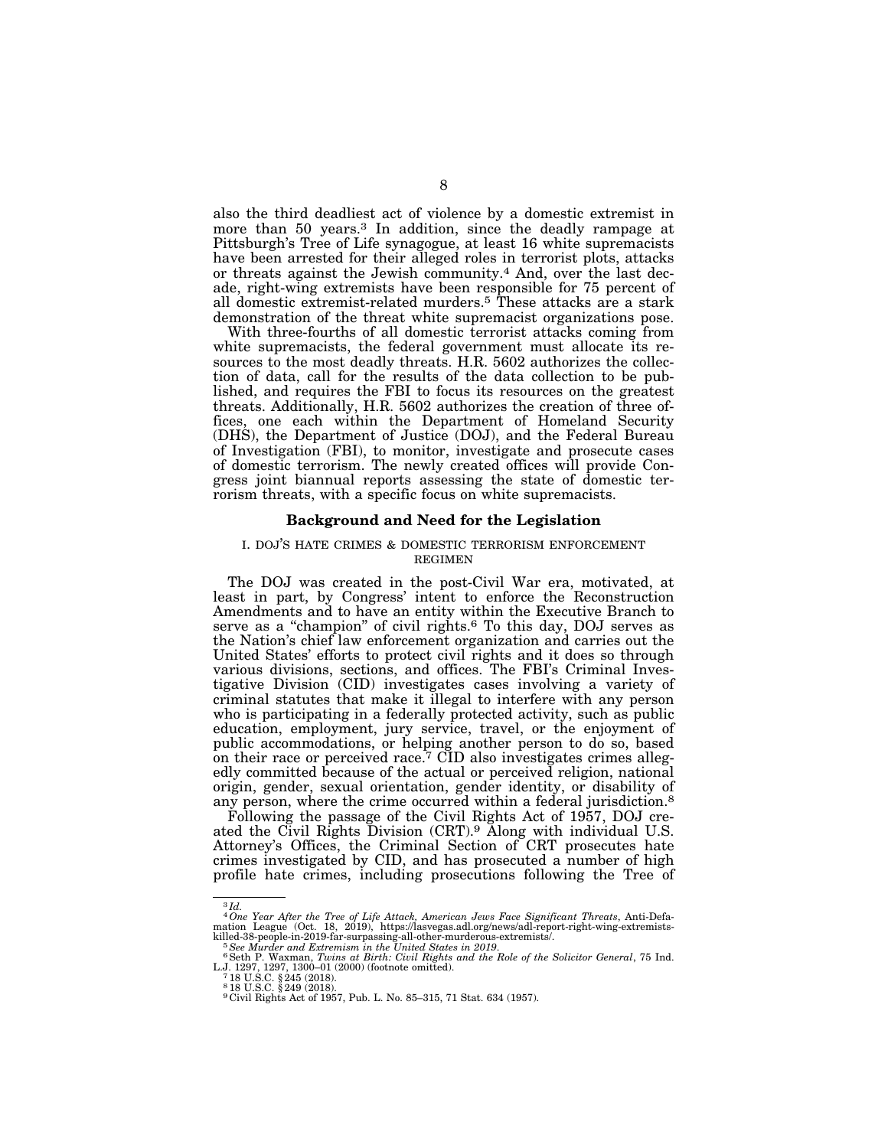also the third deadliest act of violence by a domestic extremist in more than 50 years.3 In addition, since the deadly rampage at Pittsburgh's Tree of Life synagogue, at least 16 white supremacists have been arrested for their alleged roles in terrorist plots, attacks or threats against the Jewish community.4 And, over the last decade, right-wing extremists have been responsible for 75 percent of all domestic extremist-related murders.5 These attacks are a stark demonstration of the threat white supremacist organizations pose.

With three-fourths of all domestic terrorist attacks coming from white supremacists, the federal government must allocate its resources to the most deadly threats. H.R. 5602 authorizes the collection of data, call for the results of the data collection to be published, and requires the FBI to focus its resources on the greatest threats. Additionally, H.R. 5602 authorizes the creation of three offices, one each within the Department of Homeland Security (DHS), the Department of Justice (DOJ), and the Federal Bureau of Investigation (FBI), to monitor, investigate and prosecute cases of domestic terrorism. The newly created offices will provide Congress joint biannual reports assessing the state of domestic terrorism threats, with a specific focus on white supremacists.

### **Background and Need for the Legislation**

### I. DOJ'S HATE CRIMES & DOMESTIC TERRORISM ENFORCEMENT REGIMEN

The DOJ was created in the post-Civil War era, motivated, at least in part, by Congress' intent to enforce the Reconstruction Amendments and to have an entity within the Executive Branch to serve as a "champion" of civil rights.<sup>6</sup> To this day, DOJ serves as the Nation's chief law enforcement organization and carries out the United States' efforts to protect civil rights and it does so through various divisions, sections, and offices. The FBI's Criminal Investigative Division (CID) investigates cases involving a variety of criminal statutes that make it illegal to interfere with any person who is participating in a federally protected activity, such as public education, employment, jury service, travel, or the enjoyment of public accommodations, or helping another person to do so, based on their race or perceived race.<sup>7</sup> CID also investigates crimes allegedly committed because of the actual or perceived religion, national origin, gender, sexual orientation, gender identity, or disability of any person, where the crime occurred within a federal jurisdiction.<sup>8</sup>

Following the passage of the Civil Rights Act of 1957, DOJ created the Civil Rights Division (CRT).<sup>9</sup> Along with individual U.S. Attorney's Offices, the Criminal Section of CRT prosecutes hate crimes investigated by CID, and has prosecuted a number of high profile hate crimes, including prosecutions following the Tree of

3 *Id.* 

<sup>&</sup>lt;sup>4</sup> One Year After the Tree of Life Attack, American Jews Face Significant Threats, Anti-Defa-<br>mation League (Oct. 18, 2019), https://lasvegas.adl.org/news/adl-report-right-wing-extremistskilled-38-people-in-2019-far-surpassing-all-other-murderous-extremists/.<br><sup>5</sup> See Murder and Extremism in the United States in 2019.<br><sup>6</sup> Seth P. Waxman, *Twins at Birth: Civil Rights and the Role of the Solicitor General*,

L.J. 1297, 1297, 1300–01 (2000) (footnote omitted). 7 18 U.S.C. § 245 (2018).

 $^{7}$  18 U.S.C.  $\frac{245}{249}$  (2018).<br><sup>8</sup> 18 U.S.C.  $\frac{8}{249}$  (2018).

<sup>9</sup> Civil Rights Act of 1957, Pub. L. No. 85–315, 71 Stat. 634 (1957).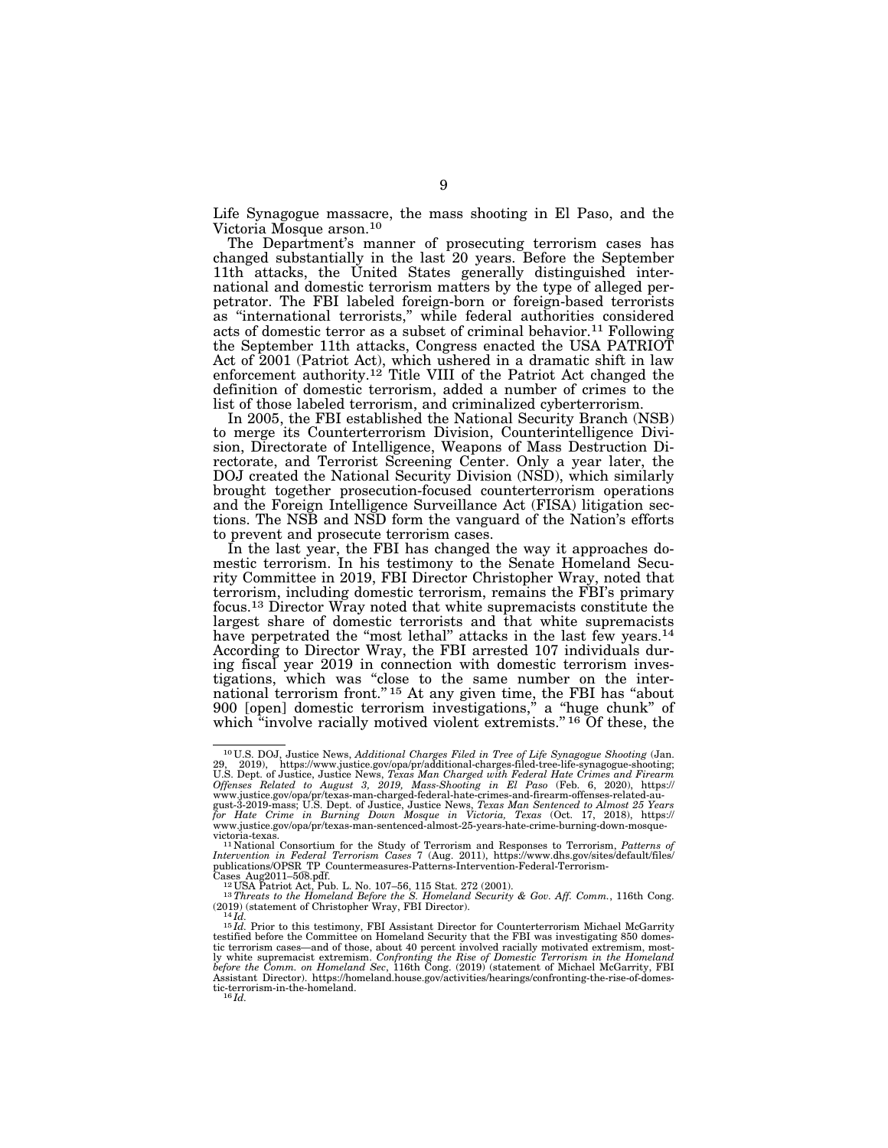Life Synagogue massacre, the mass shooting in El Paso, and the Victoria Mosque arson.10

The Department's manner of prosecuting terrorism cases has changed substantially in the last 20 years. Before the September 11th attacks, the United States generally distinguished international and domestic terrorism matters by the type of alleged perpetrator. The FBI labeled foreign-born or foreign-based terrorists as ''international terrorists,'' while federal authorities considered acts of domestic terror as a subset of criminal behavior.11 Following the September 11th attacks, Congress enacted the USA PATRIOT Act of 2001 (Patriot Act), which ushered in a dramatic shift in law enforcement authority.<sup>12</sup> Title VIII of the Patriot Act changed the definition of domestic terrorism, added a number of crimes to the list of those labeled terrorism, and criminalized cyberterrorism.

In 2005, the FBI established the National Security Branch (NSB) to merge its Counterterrorism Division, Counterintelligence Division, Directorate of Intelligence, Weapons of Mass Destruction Directorate, and Terrorist Screening Center. Only a year later, the DOJ created the National Security Division (NSD), which similarly brought together prosecution-focused counterterrorism operations and the Foreign Intelligence Surveillance Act (FISA) litigation sections. The NSB and NSD form the vanguard of the Nation's efforts to prevent and prosecute terrorism cases.

In the last year, the FBI has changed the way it approaches domestic terrorism. In his testimony to the Senate Homeland Security Committee in 2019, FBI Director Christopher Wray, noted that terrorism, including domestic terrorism, remains the FBI's primary focus.13 Director Wray noted that white supremacists constitute the largest share of domestic terrorists and that white supremacists have perpetrated the "most lethal" attacks in the last few years.<sup>14</sup> According to Director Wray, the FBI arrested 107 individuals during fiscal year 2019 in connection with domestic terrorism investigations, which was ''close to the same number on the international terrorism front."<sup>15</sup> At any given time, the FBI has "about 900 [open] domestic terrorism investigations,'' a ''huge chunk'' of which "involve racially motived violent extremists." <sup>16</sup> Of these, the

<sup>10</sup> U.S. DOJ, Justice News, *Additional Charges Filed in Tree of Life Synagogue Shooting* (Jan. 29, 2019), https://www.justice.gov/opa/pr/additional-charges-filed-tree-life-synagogue-shooting;<br>U.S. Dept. of Justice, Justice News, *Texas Man Charged with Federal Hate Crimes and Firearm*<br>Offenses *Related to A* 

www.justice.gov/opa/pr/texas-man-charged-federal-hate-crimes-and-firearm-offenses-related-au-<br>gust-3-2019-mass; U.S. Dept. of Justice, Justice News, *Texas Man Sentenced to Almost 25 Years*<br>for Hate Crime in Burning D www.justice.gov/opa/pr/texas-man-sentenced-almost-25-years-hate-crime-burning-down-mosque-

victoria-texas.<br><sup>11</sup> National Consortium for the Study of Terrorism and Responses to Terrorism, *Patterns of*<br>Intervention in Federal Terrorism Cases 7 (Aug. 2011), https://www.dhs.gov/sites/default/files/<br>publications/OPS

Cases Aug2011–508.pdf. 12 USA Patriot Act, Pub. L. No. 107–56, 115 Stat. 272 (2001).<br>
<sup>12</sup> USA Patriot Act, Pub. L. No. 107–56, 115 Stat. 272 (2001).<br>
<sup>13</sup> Threats to the Homeland Before the S. Homeland Security & Gov. Aff

<sup>14</sup> *Id.*<br>15 *Id.* Prior to this testimony, FBI Assistant Director for Counterterrorism Michael McGarrity<br>15 *Id.* Prior to this testimony, FBI Assistant Director for Counterterrorism Michael McGarrity testified before the Committee on Homeland Security that the FBI was investigating 850 domestic terrorism cases—and of those, about 40 percent involved racially motivated extremism, most-<br>ly white supremacist extremism. Confronting the Rise of Domestic Terrorism in the Homeland<br>before the Comm. on Homeland Sec, 1 Assistant Director). https://homeland.house.gov/activities/hearings/confronting-the-rise-of-domestic-terrorism-in-the-homeland. 16 *Id.*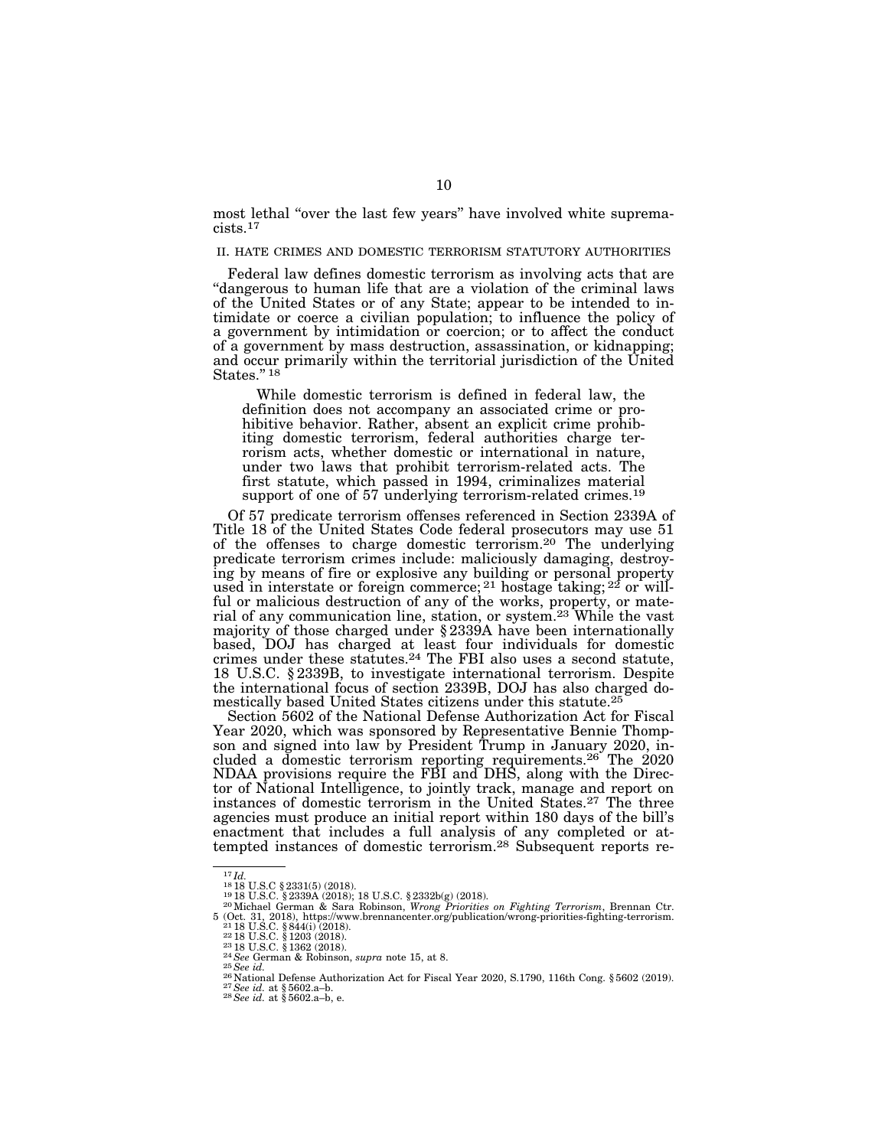most lethal ''over the last few years'' have involved white supremacists.17

### II. HATE CRIMES AND DOMESTIC TERRORISM STATUTORY AUTHORITIES

Federal law defines domestic terrorism as involving acts that are ''dangerous to human life that are a violation of the criminal laws of the United States or of any State; appear to be intended to intimidate or coerce a civilian population; to influence the policy of a government by intimidation or coercion; or to affect the conduct of a government by mass destruction, assassination, or kidnapping; and occur primarily within the territorial jurisdiction of the United States."<sup>18</sup>

While domestic terrorism is defined in federal law, the definition does not accompany an associated crime or prohibitive behavior. Rather, absent an explicit crime prohibiting domestic terrorism, federal authorities charge terrorism acts, whether domestic or international in nature, under two laws that prohibit terrorism-related acts. The first statute, which passed in 1994, criminalizes material support of one of 57 underlying terrorism-related crimes.<sup>19</sup>

Of 57 predicate terrorism offenses referenced in Section 2339A of Title 18 of the United States Code federal prosecutors may use 51 of the offenses to charge domestic terrorism.20 The underlying predicate terrorism crimes include: maliciously damaging, destroying by means of fire or explosive any building or personal property used in interstate or foreign commerce;  $21$  hostage taking;  $22$  or willful or malicious destruction of any of the works, property, or material of any communication line, station, or system.23 While the vast majority of those charged under § 2339A have been internationally based, DOJ has charged at least four individuals for domestic crimes under these statutes.24 The FBI also uses a second statute, 18 U.S.C. § 2339B, to investigate international terrorism. Despite the international focus of section 2339B, DOJ has also charged domestically based United States citizens under this statute.25

Section 5602 of the National Defense Authorization Act for Fiscal Year 2020, which was sponsored by Representative Bennie Thompson and signed into law by President Trump in January 2020, included a domestic terrorism reporting requirements.26 The 2020 NDAA provisions require the FBI and DHS, along with the Director of National Intelligence, to jointly track, manage and report on instances of domestic terrorism in the United States.27 The three agencies must produce an initial report within 180 days of the bill's enactment that includes a full analysis of any completed or attempted instances of domestic terrorism.28 Subsequent reports re-

<sup>17</sup> *Id.* <sup>18</sup> 18 U.S.C § 2331(5) (2018). 19 18 U.S.C. § 2339A (2018); 18 U.S.C. § 2332b(g) (2018). 20Michael German & Sara Robinson, *Wrong Priorities on Fighting Terrorism*, Brennan Ctr. For the Sale of the Sale and Wolfshire Control of the Sale and Tegnal Cut.<br>
5 (Oct. 31, 2018), https://www.brennancenter.org/publication/wrong-priorities-fighting-terrorism.<br>
<sup>21</sup> 18 U.S.C. § 1303 (2018).<br>
<sup>22</sup> 18 U.S.C.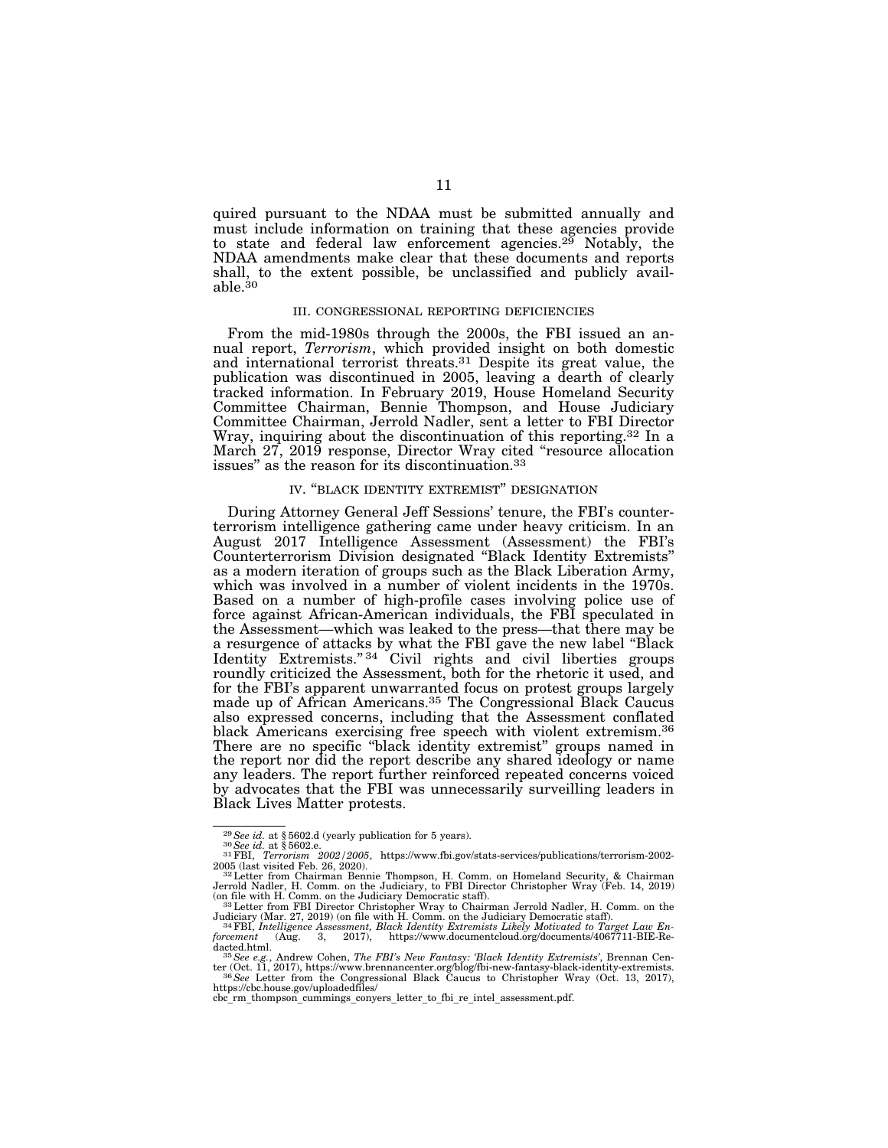quired pursuant to the NDAA must be submitted annually and must include information on training that these agencies provide to state and federal law enforcement agencies.<sup>29</sup> Notably, the NDAA amendments make clear that these documents and reports shall, to the extent possible, be unclassified and publicly available.30

### III. CONGRESSIONAL REPORTING DEFICIENCIES

From the mid-1980s through the 2000s, the FBI issued an annual report, *Terrorism*, which provided insight on both domestic and international terrorist threats.31 Despite its great value, the publication was discontinued in 2005, leaving a dearth of clearly tracked information. In February 2019, House Homeland Security Committee Chairman, Bennie Thompson, and House Judiciary Committee Chairman, Jerrold Nadler, sent a letter to FBI Director Wray, inquiring about the discontinuation of this reporting.32 In a March 27, 2019 response, Director Wray cited ''resource allocation issues'' as the reason for its discontinuation.33

### IV. ''BLACK IDENTITY EXTREMIST'' DESIGNATION

During Attorney General Jeff Sessions' tenure, the FBI's counterterrorism intelligence gathering came under heavy criticism. In an August 2017 Intelligence Assessment (Assessment) the FBI's Counterterrorism Division designated ''Black Identity Extremists'' as a modern iteration of groups such as the Black Liberation Army, which was involved in a number of violent incidents in the 1970s. Based on a number of high-profile cases involving police use of force against African-American individuals, the FBI speculated in the Assessment—which was leaked to the press—that there may be a resurgence of attacks by what the FBI gave the new label ''Black Identity Extremists."<sup>34</sup> Civil rights and civil liberties groups roundly criticized the Assessment, both for the rhetoric it used, and for the FBI's apparent unwarranted focus on protest groups largely made up of African Americans.<sup>35</sup> The Congressional Black Caucus also expressed concerns, including that the Assessment conflated black Americans exercising free speech with violent extremism.<sup>36</sup> There are no specific ''black identity extremist'' groups named in the report nor did the report describe any shared ideology or name any leaders. The report further reinforced repeated concerns voiced by advocates that the FBI was unnecessarily surveilling leaders in Black Lives Matter protests.

<sup>&</sup>lt;sup>29</sup>*See id.* at § 5602.d (yearly publication for 5 years).<br><sup>30</sup>*See id.* at § 5602.e.<br><sup>31</sup>FBI, *Terrorism 2002/2005*, https://www.fbi.gov/stats-services/publications/terrorism-2002-2005 (last visited Feb. 26, 2020). 32Letter from Chairman Bennie Thompson, H. Comm. on Homeland Security, & Chairman

Jerrold Nadler, H. Comm. on the Judiciary, to FBI Director Christopher Wray (Feb. 14, 2019)<br>(on file with H. Comm. on the Judiciary Democratic staff).<br>[33] Letter from FBI Director Christopher Wray to Chairman Jerrold Nadl

Judiciary (Mar. 27, 2019) (on file with H. Comm. on the Judiciary Democratic staff).<br><sup>34</sup>FBI, *Intelligence Assessment, Black Identity Extremists Likely Motivated to Target Law En-<br>forcement (Aug. 3, 2017), ht* dacted.html. 35*See e.g.*, Andrew Cohen, *The FBI's New Fantasy: 'Black Identity Extremists'*, Brennan Cen-

ter (Oct. 11, 2017), https://www.brennancenter.org/blog/fbi-new-fantasy-black-identity-extremists.<br><sup>36</sup>*See L*etter from the Congressional Black Caucus to Christopher Wray (Oct. 13, 2017),<br>https://cbc.house.gov/uploadedfil

cbc<sup>rm</sup> thompson cummings conyers letter to fbi re intel assessment.pdf.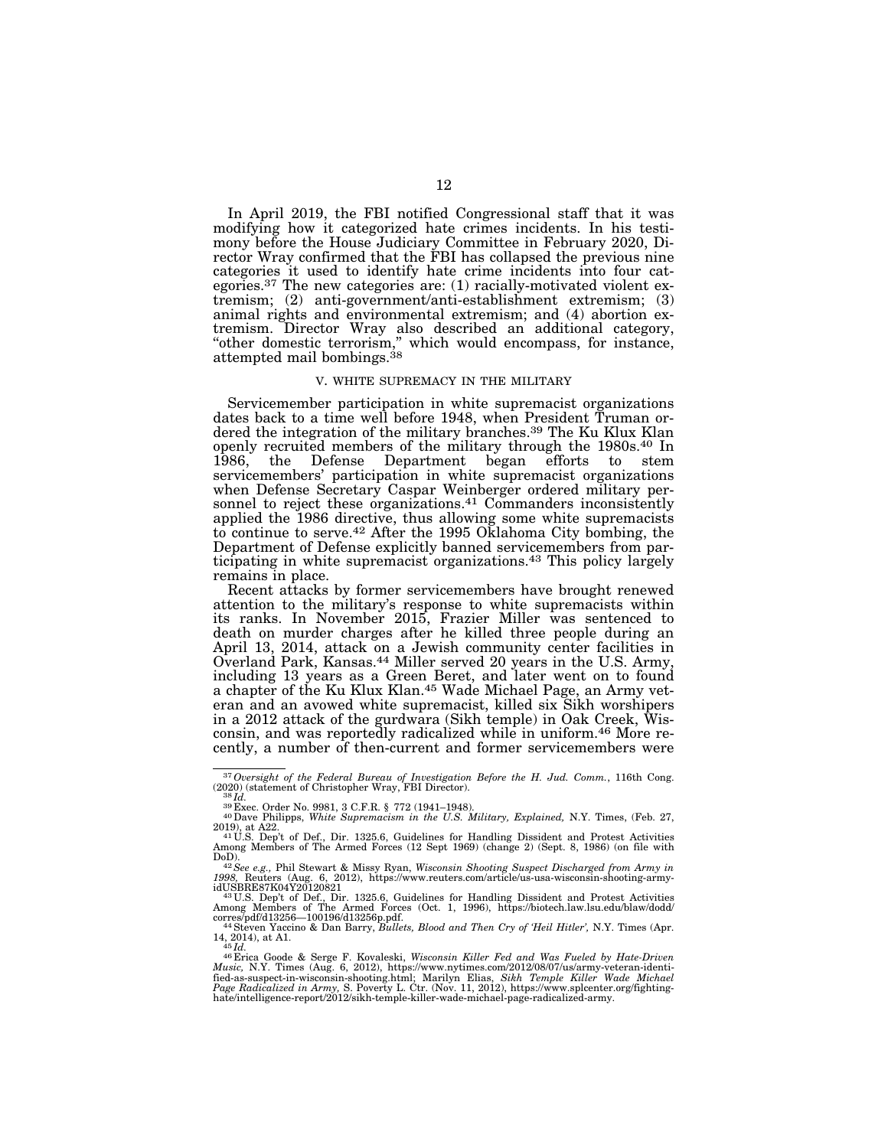In April 2019, the FBI notified Congressional staff that it was modifying how it categorized hate crimes incidents. In his testimony before the House Judiciary Committee in February 2020, Director Wray confirmed that the FBI has collapsed the previous nine categories it used to identify hate crime incidents into four categories.37 The new categories are: (1) racially-motivated violent extremism; (2) anti-government/anti-establishment extremism; (3) animal rights and environmental extremism; and (4) abortion extremism. Director Wray also described an additional category, ''other domestic terrorism,'' which would encompass, for instance, attempted mail bombings.<sup>38</sup>

### V. WHITE SUPREMACY IN THE MILITARY

Servicemember participation in white supremacist organizations dates back to a time well before 1948, when President Truman ordered the integration of the military branches.39 The Ku Klux Klan openly recruited members of the military through the 1980s.40 In 1986, the Defense Department began efforts to stem servicemembers' participation in white supremacist organizations when Defense Secretary Caspar Weinberger ordered military personnel to reject these organizations.41 Commanders inconsistently applied the 1986 directive, thus allowing some white supremacists to continue to serve.42 After the 1995 Oklahoma City bombing, the Department of Defense explicitly banned servicemembers from participating in white supremacist organizations.43 This policy largely remains in place.

Recent attacks by former servicemembers have brought renewed attention to the military's response to white supremacists within its ranks. In November 2015, Frazier Miller was sentenced to death on murder charges after he killed three people during an April 13, 2014, attack on a Jewish community center facilities in Overland Park, Kansas.44 Miller served 20 years in the U.S. Army, including 13 years as a Green Beret, and later went on to found a chapter of the Ku Klux Klan.<sup>45</sup> Wade Michael Page, an Army veteran and an avowed white supremacist, killed six Sikh worshipers in a 2012 attack of the gurdwara (Sikh temple) in Oak Creek, Wisconsin, and was reportedly radicalized while in uniform.46 More recently, a number of then-current and former servicemembers were

<sup>&</sup>lt;sup>37</sup> Oversight of the Federal Bureau of Investigation Before the H. Jud. Comm., 116th Cong. (2020) (statement of Christopher Wray, FBI Director).

<sup>(2020) (</sup>statement of Christopher Wray, FBI Director). 38 *Id.* <sup>39</sup> Exec. Order No. 9981, 3 C.F.R. § 772 (1941–1948). 40Dave Philipps, *White Supremacism in the U.S. Military, Explained,* N.Y. Times, (Feb. 27, 2019), at A22.<br>
<sup>41</sup> U.S. Dep't of Def., Dir. 1325.6, Guidelines for Handling Dissident and Protest Activities

Among Members of The Armed Forces (12 Sept 1969) (change 2) (Sept. 8, 1986) (on file with

DoD). 42*See e.g.,* Phil Stewart & Missy Ryan, *Wisconsin Shooting Suspect Discharged from Army in 1998,* Reuters (Aug. 6, 2012), https://www.reuters.com/article/us-usa-wisconsin-shooting-army-

idUSBRE87K04Y20120821<br>
<sup>43</sup>U.S. Dep't of Def., Dir. 1325.6, Guidelines for Handling Dissident and Protest Activities<br>
Among Members of The Armed Forces (Oct. 1, 1996), https://biotech.law.lsu.edu/blaw/dodd/<br>
corres/pdf/d1

<sup>14, 2014),</sup> at A1.<br><sup>46</sup> Erica Goode & Serge F. Kovaleski, *Wisconsin Killer Fed and Was Fueled by Hate-Driven*<br>*Music*, N.Y. Times (Aug. 6, 2012), https://www.nytimes.com/2012/08/07/us/army-veteran-identified-as-suspect-in-wisconsin-shooting.html; Marilyn Elias, *Sikh Temple Killer Wade Michael*<br>*Page Radicalized in Army*, S. Poverty L. Ctr. (Nov. 11, 2012), https://www.splcenter.org/fighting-<br>hate/intelligence-report/2012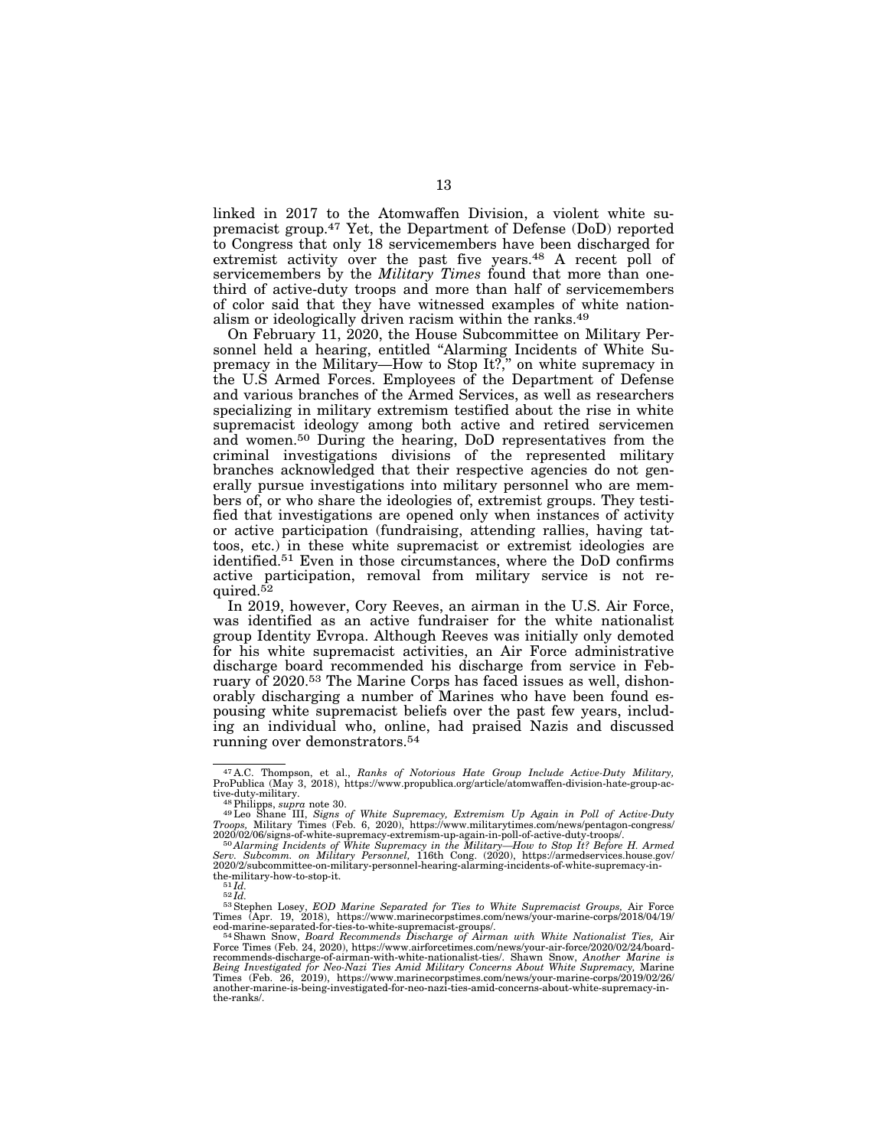linked in 2017 to the Atomwaffen Division, a violent white supremacist group.47 Yet, the Department of Defense (DoD) reported to Congress that only 18 servicemembers have been discharged for extremist activity over the past five years.<sup>48</sup> A recent poll of servicemembers by the *Military Times* found that more than onethird of active-duty troops and more than half of servicemembers of color said that they have witnessed examples of white nationalism or ideologically driven racism within the ranks.49

On February 11, 2020, the House Subcommittee on Military Personnel held a hearing, entitled "Alarming Incidents of White Supremacy in the Military-How to Stop It?," on white supremacy in the U.S Armed Forces. Employees of the Department of Defense and various branches of the Armed Services, as well as researchers specializing in military extremism testified about the rise in white supremacist ideology among both active and retired servicemen and women.50 During the hearing, DoD representatives from the criminal investigations divisions of the represented military branches acknowledged that their respective agencies do not generally pursue investigations into military personnel who are members of, or who share the ideologies of, extremist groups. They testified that investigations are opened only when instances of activity or active participation (fundraising, attending rallies, having tattoos, etc.) in these white supremacist or extremist ideologies are identified.51 Even in those circumstances, where the DoD confirms active participation, removal from military service is not required.<sup>52</sup>

In 2019, however, Cory Reeves, an airman in the U.S. Air Force, was identified as an active fundraiser for the white nationalist group Identity Evropa. Although Reeves was initially only demoted for his white supremacist activities, an Air Force administrative discharge board recommended his discharge from service in February of 2020.53 The Marine Corps has faced issues as well, dishonorably discharging a number of Marines who have been found espousing white supremacist beliefs over the past few years, including an individual who, online, had praised Nazis and discussed running over demonstrators.54

<sup>47</sup> A.C. Thompson, et al., *Ranks of Notorious Hate Group Include Active-Duty Military,*  ProPublica (May 3, 2018), https://www.propublica.org/article/atomwaffen-division-hate-group-ac-

tive-duty-military. 48Philipps, *supra* note 30. 49Leo Shane III, *Signs of White Supremacy, Extremism Up Again in Poll of Active-Duty Troops, Military Times (Feb. 6, 2020), https://www.militarytimes.com/news/pentagon-congress/*<br>2020/02/06/signs-of-white-supremacy-extremism-up-again-in-poll-of-active-duty-troops/.

<sup>2020/02/06/</sup>signs-of-white-supremacy-extremism-up-again-in-poll-of-active-duty-troops/.<br><sup>56</sup>Alarming Incidents of White Supremacy in the Military—How to Stop It? Before H. Armed<br>Serv. Subcomm. on Military Personnel, 11 2020/2/subcommittee-on-military-personnel-hearing-alarming-incidents-of-white-supremacy-in-

<sup>&</sup>lt;sup>51</sup> *Id.* <sup>52</sup> *Id.* <sup>52</sup> *Id.* **52** *Id. 52 Id. 52 Id. 53* Stephen Losey, *EOD Marine Separated for Ties to White Supremacist Groups, Air Force* 

Times (Apr. 19, 2018), https://www.marinecorpstimes.com/news/your-marine-corps/2018/04/19/<br>eod-marine-separated-for-ties-to-white-supremacist-groups/.<br><sup>54</sup>Shawn Show, *Board Recommends Discharge of Airman with White Nation* Times (Feb. 26, 2019), https://www.marinecorpstimes.com/news/your-marine-corps/2019/02/26/ another-marine-is-being-investigated-for-neo-nazi-ties-amid-concerns-about-white-supremacy-inthe-ranks/.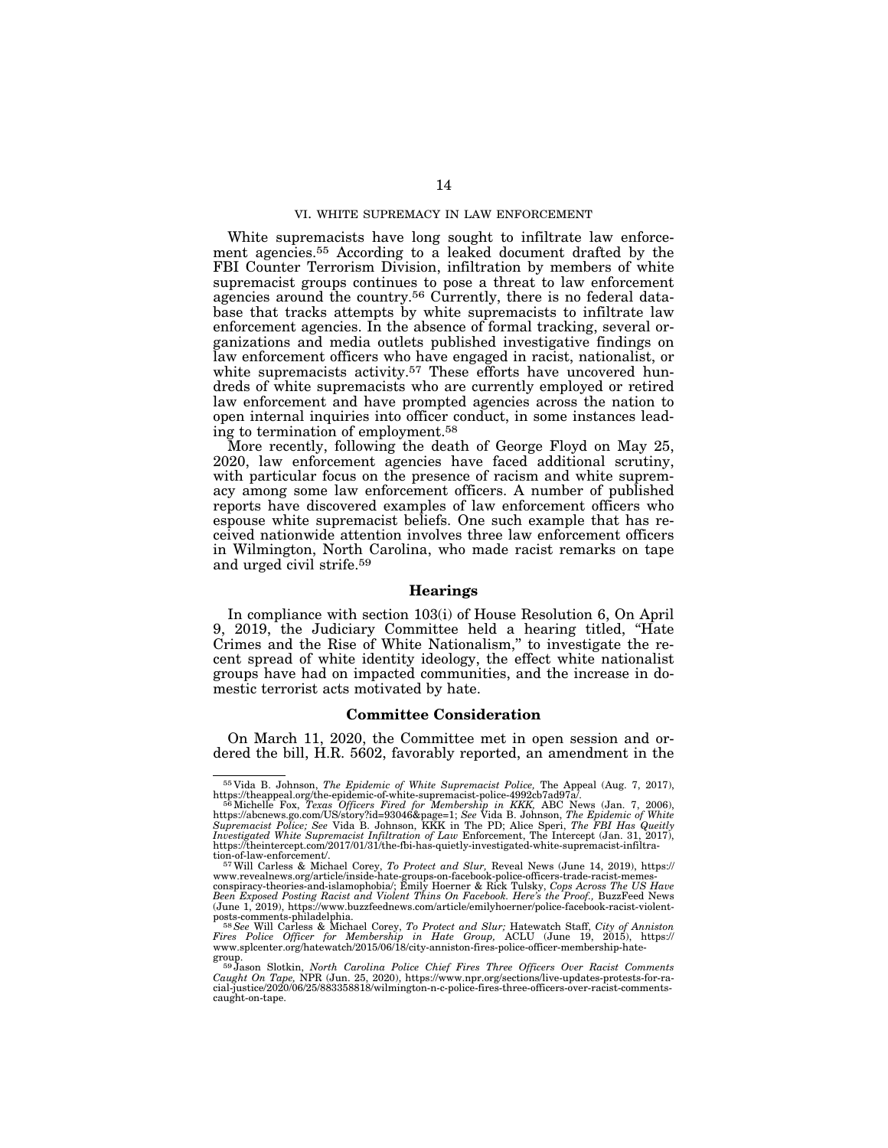### VI. WHITE SUPREMACY IN LAW ENFORCEMENT

White supremacists have long sought to infiltrate law enforcement agencies.55 According to a leaked document drafted by the FBI Counter Terrorism Division, infiltration by members of white supremacist groups continues to pose a threat to law enforcement agencies around the country.<sup>56</sup> Currently, there is no federal database that tracks attempts by white supremacists to infiltrate law enforcement agencies. In the absence of formal tracking, several organizations and media outlets published investigative findings on law enforcement officers who have engaged in racist, nationalist, or white supremacists activity.<sup>57</sup> These efforts have uncovered hundreds of white supremacists who are currently employed or retired law enforcement and have prompted agencies across the nation to open internal inquiries into officer conduct, in some instances leading to termination of employment.58

More recently, following the death of George Floyd on May 25, 2020, law enforcement agencies have faced additional scrutiny, with particular focus on the presence of racism and white supremacy among some law enforcement officers. A number of published reports have discovered examples of law enforcement officers who espouse white supremacist beliefs. One such example that has received nationwide attention involves three law enforcement officers in Wilmington, North Carolina, who made racist remarks on tape and urged civil strife.59

### **Hearings**

In compliance with section 103(i) of House Resolution 6, On April 9, 2019, the Judiciary Committee held a hearing titled, "Hate Crimes and the Rise of White Nationalism,'' to investigate the recent spread of white identity ideology, the effect white nationalist groups have had on impacted communities, and the increase in domestic terrorist acts motivated by hate.

### **Committee Consideration**

On March 11, 2020, the Committee met in open session and ordered the bill, H.R. 5602, favorably reported, an amendment in the

<sup>55</sup> Vida B. Johnson, *The Epidemic of White Supremacist Police,* The Appeal (Aug. 7, 2017),

https://theappeal.org/the-epidemic-of-white-supremacist-police-4992cb7ad97a/.<br><sup>56</sup> Michelle Fox, *Texas Officers Fired for Membership in KKK*, ABC News (Jan. 7, 2006),<br>https://abcnews.go.com/US/story?id=93046&page=1; *See Supremacist Police; See* Vida B. Johnson, KKK in The PD; Alice Speri, *The FBI Has Queitly*<br>Investigated White Supremacist Infiltration of Law Enforcement, The Intercept (Jan. 31, 2017),<br>https://theintercept.com/2017/01/3

tion-of-law-enforcement/.<br><sup>57</sup>Will Carless & Michael Corey, *To Protect and Slur*, Reveal News (June 14, 2019), https://<br>www.revealnews.org/article/inside-hate-groups-on-facebook-police-officers-trade-racist-memes-

conspiracy-theories-and-islamophobia/; Emily Hoerner & Rick Tulsky, *Cops Across The US Have*<br>*Been Exposed Posting Racist and Violent Thins On Facebook. Here's the Proof.,* BuzzFeed News<br>(June 1, 2019), https://www.buzzfe

posts-comments-philadelphia.<br><sup>58</sup>See Will Carless & Michael Corey, *To Protect and Slur;* Hatewatch Staff, *City of Anniston*<br>Fires Police Officer for Membership in Hate Group, ACLU (June 19, 2015), https:// www.splcenter.org/hatewatch/2015/06/18/city-anniston-fires-police-officer-membership-hate-

group. 59 Jason Slotkin, *North Carolina Police Chief Fires Three Officers Over Racist Comments Caught On Tape,* NPR (Jun. 25, 2020), https://www.npr.org/sections/live-updates-protests-for-ra-cial-justice/2020/06/25/883358818/wilmington-n-c-police-fires-three-officers-over-racist-commentscaught-on-tape.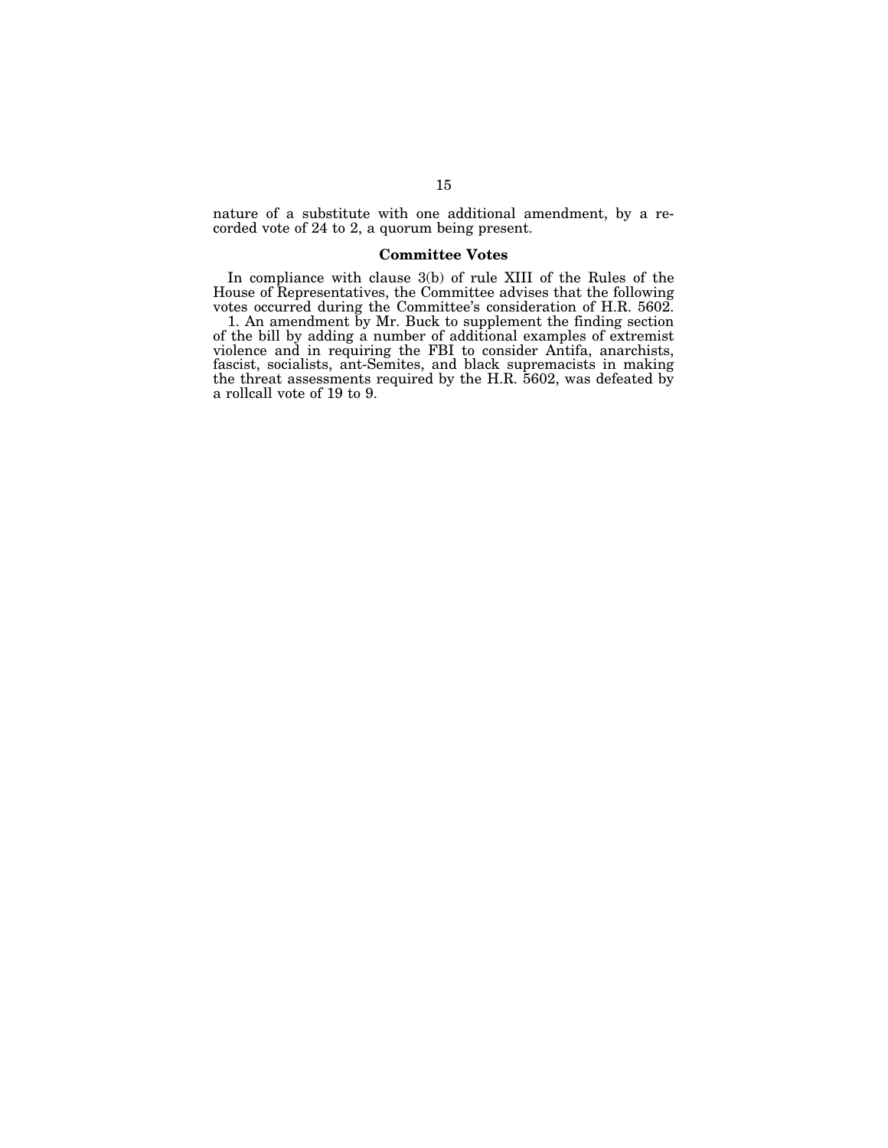nature of a substitute with one additional amendment, by a recorded vote of 24 to 2, a quorum being present.

### **Committee Votes**

In compliance with clause 3(b) of rule XIII of the Rules of the House of Representatives, the Committee advises that the following votes occurred during the Committee's consideration of H.R. 5602.

1. An amendment by Mr. Buck to supplement the finding section of the bill by adding a number of additional examples of extremist violence and in requiring the FBI to consider Antifa, anarchists, fascist, socialists, ant-Semites, and black supremacists in making the threat assessments required by the H.R. 5602, was defeated by a rollcall vote of 19 to 9.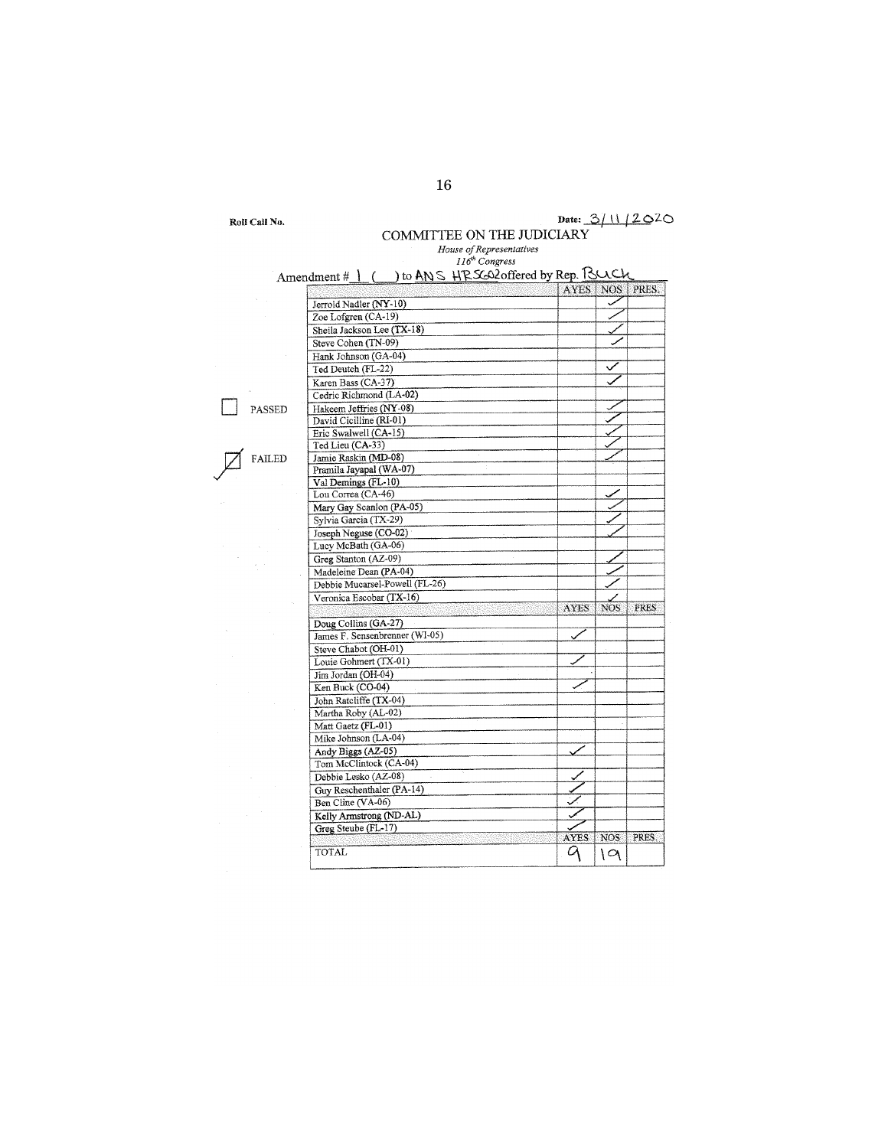| Roll Call No. |  |  |
|---------------|--|--|
|---------------|--|--|

# Roll Call No.  $\qquad \qquad$  Date:  $\frac{3/11/20^{20}}{20}$ COMMITTEE ON THE JUDICIARY

|        | House of Representatives                             |             |                  |             |
|--------|------------------------------------------------------|-------------|------------------|-------------|
|        | 116 <sup>th</sup> Congress                           |             |                  |             |
|        | Amendment # 1 ( ) to ANS HRS602 offered by Rep. Buch |             |                  |             |
|        |                                                      | <b>AYES</b> | NOS <sup>-</sup> | PRES.       |
|        | Jerrold Nadler (NY-10)                               |             | ✓                |             |
|        | Zoe Lofgren (CA-19)                                  |             |                  |             |
|        | Sheila Jackson Lee (TX-18)                           |             |                  |             |
|        | Steve Cohen (TN-09)                                  |             |                  |             |
|        | Hank Johnson (GA-04)                                 |             |                  |             |
|        | Ted Deutch (FL-22)                                   |             |                  |             |
|        | Karen Bass (CA-37)                                   |             |                  |             |
|        | Cedric Richmond (LA-02)                              |             |                  |             |
| PASSED | Hakeem Jeffries (NY-08)                              |             |                  |             |
|        | David Cicilline (RI-01)                              |             |                  |             |
|        | Eric Swalwell (CA-15)                                |             |                  |             |
|        | Ted Lieu (CA-33)                                     |             |                  |             |
| FAILED | Jamie Raskin (MD-08)                                 |             |                  |             |
|        | Pramila Jayapal (WA-07)                              |             |                  |             |
|        | Val Demings (FL-10)                                  |             |                  |             |
|        | Lou Correa (CA-46)                                   |             |                  |             |
|        | Mary Gay Scanlon (PA-05)                             |             |                  |             |
|        | Sylvia Garcia (TX-29)                                |             |                  |             |
|        | Joseph Neguse (CO-02)                                |             |                  |             |
|        | Lucy McBath (GA-06)                                  |             |                  |             |
|        | Greg Stanton (AZ-09)                                 |             |                  |             |
|        | Madeleine Dean (PA-04)                               |             |                  |             |
|        | Debbie Mucarsel-Powell (FL-26)                       |             |                  |             |
|        | Veronica Escobar (TX-16)                             |             |                  |             |
|        |                                                      | <b>AYES</b> | <b>NOS</b>       | <b>PRES</b> |
|        | Doug Collins (GA-27)                                 |             |                  |             |
|        | James F. Sensenbrenner (WI-05)                       |             |                  |             |
|        | Steve Chabot (OH-01)                                 |             |                  |             |
|        | Louie Gohmert (TX-01)                                |             |                  |             |
|        |                                                      |             |                  |             |
|        | Jim Jordan (OH-04)<br>Ken Buck (CO-04)               |             |                  |             |
|        | John Ratcliffe (TX-04)                               |             |                  |             |
|        | Martha Roby (AL-02)                                  |             |                  |             |
|        |                                                      |             |                  |             |
|        | Matt Gaetz (FL-01)<br>Mike Johnson (LA-04)           |             |                  |             |
|        |                                                      |             |                  |             |
|        | Andy Biggs (AZ-05)                                   |             |                  |             |
|        | Tom McClintock (CA-04)                               |             |                  |             |
|        | Debbie Lesko (AZ-08)                                 |             |                  |             |
|        | Guy Reschenthaler (PA-14)                            |             |                  |             |
|        | Ben Cline (VA-06)                                    |             |                  |             |
|        | Kelly Armstrong (ND-AL)                              |             |                  |             |
|        | Greg Steube (FL-17)                                  | AYES        | NO <sub>S</sub>  | PRES.       |
|        | TOTAL                                                |             |                  |             |
|        |                                                      | 9           | 19               |             |

16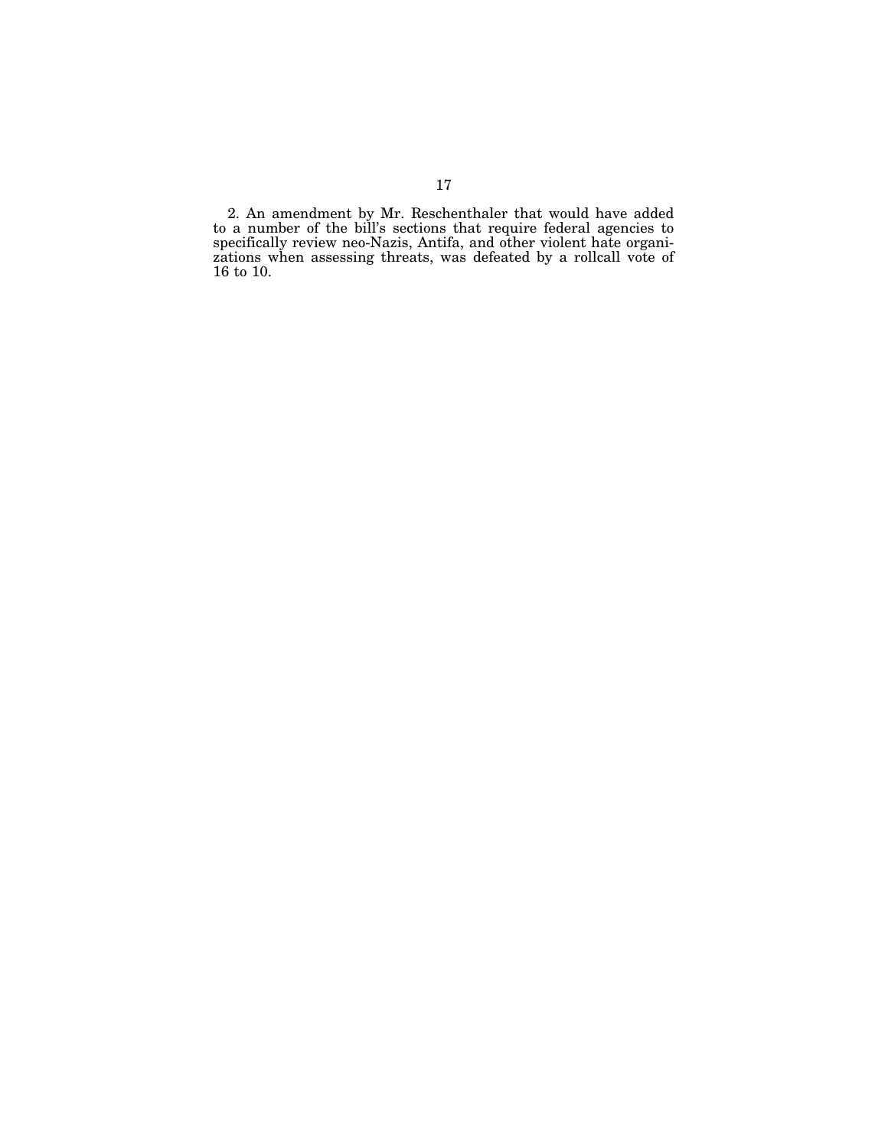2. An amendment by Mr. Reschenthaler that would have added to a number of the bill's sections that require federal agencies to specifically review neo-Nazis, Antifa, and other violent hate organizations when assessing threats, was defeated by a rollcall vote of 16 to 10.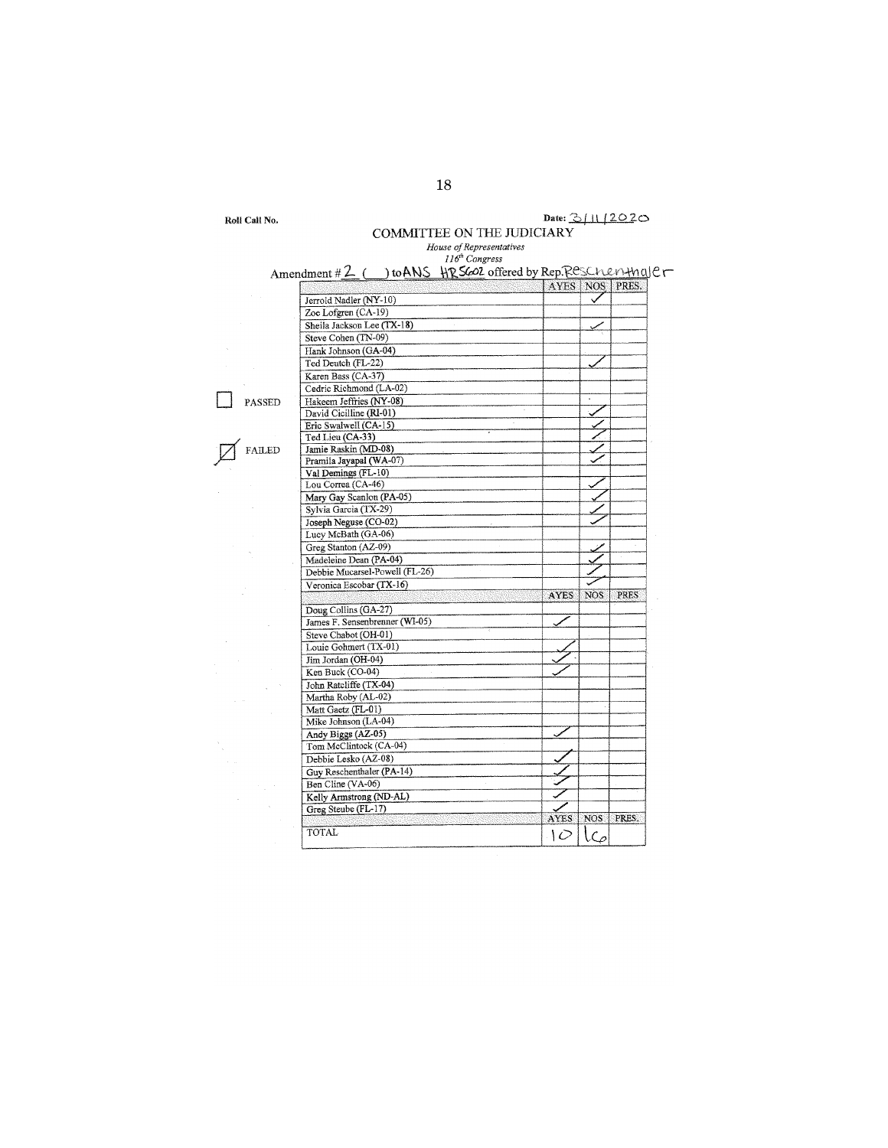| Roll Call No. |  |  |
|---------------|--|--|
|---------------|--|--|

## Date:  $3/11/2020$ COMMITTEE ON THE JUDICIARY *House of Representatives 116' Congress*  ndment# 2- ( ) to **AN.\$** \.\'2. \$(;::OZ. offered by :!> ~-,;::,,-:,, r .I \0 \-\-VI <sup>c</sup>

 $\Box$  PASS

 $\cancel{Z}$  FAIT

| Amendment # 2 ( ) to ANS HRS602 offered by Rep. Reschenting er | AYES   NOS  |            | PRES.       |
|----------------------------------------------------------------|-------------|------------|-------------|
| Jerrold Nadler (NY-10)                                         |             |            |             |
| Zoe Lofgren (CA-19)                                            |             |            |             |
| Sheila Jackson Lee (TX-18)                                     |             |            |             |
| Steve Cohen (TN-09)                                            |             |            |             |
| Hank Johnson (GA-04)                                           |             |            |             |
| Ted Deutch (FL-22)                                             |             |            |             |
| Karen Bass (CA-37)                                             |             |            |             |
| Cedric Richmond (LA-02)                                        |             |            |             |
| Hakeem Jeffries (NY-08)                                        |             |            |             |
| David Cicilline (RI-01)                                        |             |            |             |
| Eric Swalwell (CA-15)                                          |             |            |             |
| Ted Lieu (CA-33)                                               |             |            |             |
| Jamie Raskin (MD-08)                                           |             |            |             |
| Pramila Jayapal (WA-07)                                        |             |            |             |
| Val Demings (FL-10)                                            |             |            |             |
| Lou Correa (CA-46)                                             |             |            |             |
| Mary Gay Scanlon (PA-05)                                       |             |            |             |
| Sylvia Garcia (TX-29)                                          |             |            |             |
| Joseph Neguse (CO-02)                                          |             |            |             |
| Lucy McBath (GA-06)                                            |             |            |             |
| Greg Stanton (AZ-09)                                           |             |            |             |
| Madeleine Dean (PA-04)                                         |             |            |             |
| Debbie Mucarsel-Powell (FL-26)                                 |             |            |             |
| Veronica Escobar (TX-16)                                       |             |            |             |
|                                                                | <b>AYES</b> | <b>NOS</b> | <b>PRES</b> |
| Doug Collins (GA-27)                                           |             |            |             |
| James F. Sensenbrenner (WI-05)                                 |             |            |             |
| Steve Chabot (OH-01)                                           |             |            |             |
| Louie Gohmert (TX-01)                                          |             |            |             |
| Jim Jordan (OH-04)                                             |             |            |             |
| Ken Buck (CO-04)                                               |             |            |             |
| John Ratcliffe (TX-04)                                         |             |            |             |
| Martha Roby (AL-02)                                            |             |            |             |
| Matt Gaetz (FL-01)                                             |             |            |             |
| Mike Johnson (LA-04)                                           |             |            |             |
| Andy Biggs (AZ-05)                                             |             |            |             |
| Tom McClintock (CA-04)                                         |             |            |             |
| Debbie Lesko (AZ-08)                                           |             |            |             |
| Guy Reschenthaler (PA-14)                                      |             |            |             |
|                                                                |             |            |             |
|                                                                |             |            |             |
| Ben Cline (VA-06)                                              |             |            |             |
| Kelly Armstrong (ND-AL)                                        |             |            |             |
| Greg Steube (FL-17)                                            |             |            |             |
| <b>TOTAL</b>                                                   | AYES<br>١C  | $\zeta$    | NOS   PRES. |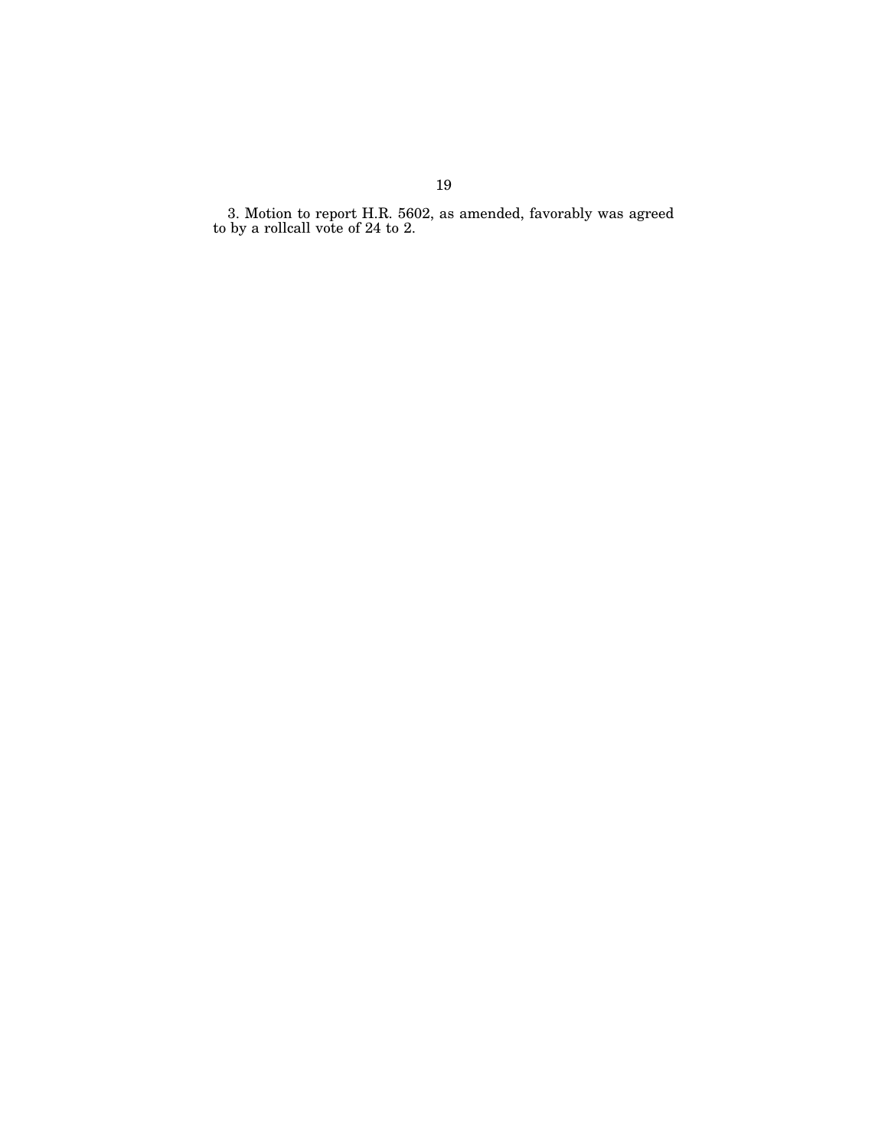3. Motion to report H.R. 5602, as amended, favorably was agreed to by a rollcall vote of 24 to 2.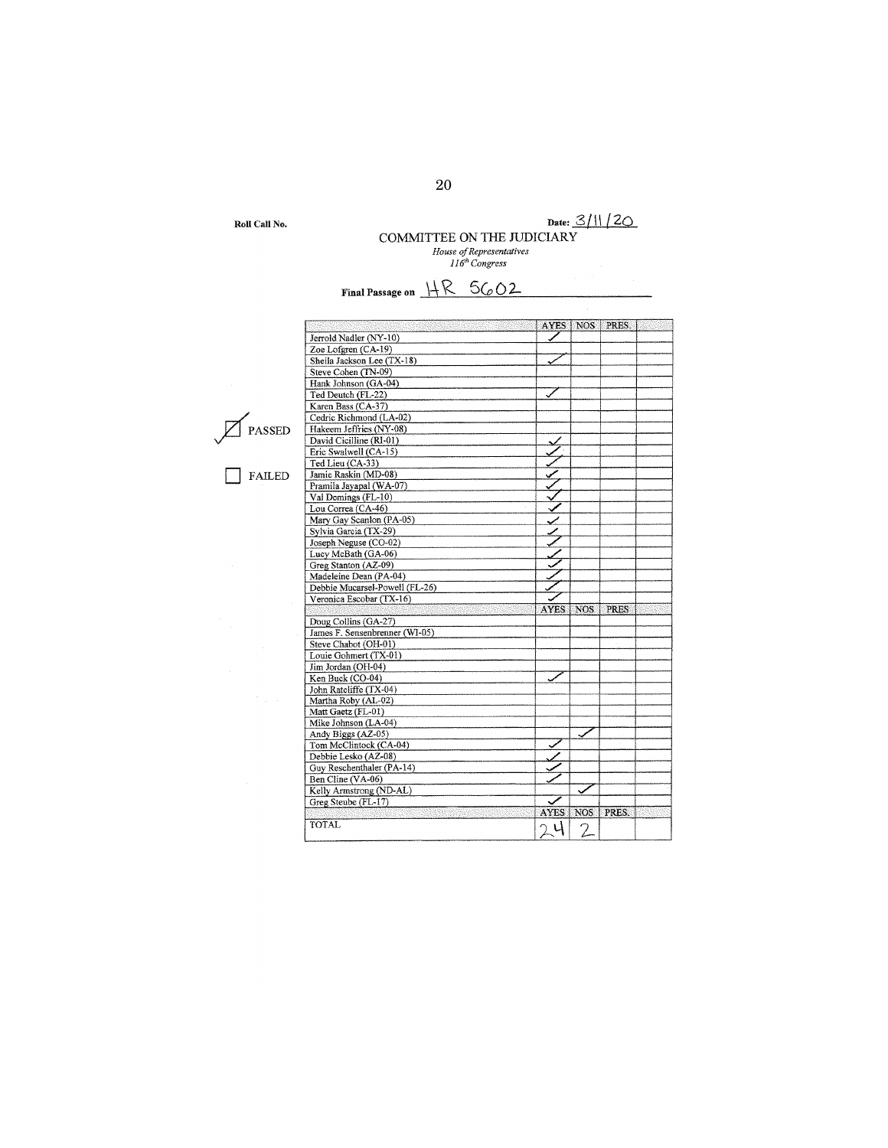**Roll Call No.** 

## **Date:** 3/\\ *{20*  **COMMITTEE ON nm JUDICIARY** *House of Representatives 1 l 6'h Congress*

Final Passage on  $\frac{\text{HR}}{\text{CR}}$  5G<sub>0</sub>O2

|  | PASSED |
|--|--------|
|--|--------|

J.

□ FAILED

|                                |             |            | AYES   NOS   PRES. |  |
|--------------------------------|-------------|------------|--------------------|--|
| Jerrold Nadler (NY-10)         |             |            |                    |  |
| Zoe Lofgren (CA-19)            |             |            |                    |  |
| Sheila Jackson Lee (TX-18)     |             |            |                    |  |
|                                |             |            |                    |  |
| Steve Cohen (TN-09)            |             |            |                    |  |
| Hank Johnson (GA-04)           |             |            |                    |  |
| Ted Deutch (FL-22)             |             |            |                    |  |
| Karen Bass (CA-37)             |             |            |                    |  |
| Cedric Richmond (LA-02)        |             |            |                    |  |
| Hakeem Jeffries (NY-08)        |             |            |                    |  |
| David Cicilline (RI-01)        |             |            |                    |  |
| Eric Swalwell (CA-15)          |             |            |                    |  |
| Ted Lieu (CA-33)               |             |            |                    |  |
| Jamie Raskin (MD-08)           |             |            |                    |  |
| Pramila Jayapal (WA-07)        |             |            |                    |  |
| Val Demings (FL-10)            |             |            |                    |  |
| Lou Correa (CA-46)             |             |            |                    |  |
| Mary Gay Scanlon (PA-05)       |             |            |                    |  |
| Sylvia Garcia (TX-29)          |             |            |                    |  |
| Joseph Neguse (CO-02)          |             |            |                    |  |
| Lucy McBath (GA-06)            |             |            |                    |  |
| Greg Stanton (AZ-09)           |             |            |                    |  |
| Madeleine Dean (PA-04)         |             |            |                    |  |
|                                |             |            |                    |  |
| Debbie Mucarsel-Powell (FL-26) |             |            |                    |  |
| Veronica Escobar (TX-16)       |             |            |                    |  |
|                                | <b>AYES</b> | <b>NOS</b> | <b>PRES</b>        |  |
| Doug Collins (GA-27)           |             |            |                    |  |
| James F. Sensenbrenner (WI-05) |             |            |                    |  |
| Steve Chabot (OH-01)           |             |            |                    |  |
| Louie Gohmert (TX-01)          |             |            |                    |  |
| Jim Jordan (OH-04)             |             |            |                    |  |
| Ken Buck (CO-04)               |             |            |                    |  |
| John Ratcliffe (TX-04)         |             |            |                    |  |
| Martha Roby (AL-02)            |             |            |                    |  |
| Matt Gaetz (FL-01)             |             |            |                    |  |
| Mike Johnson (LA-04)           |             |            |                    |  |
| Andy Biggs (AZ-05)             |             |            |                    |  |
| Tom McClintock (CA-04)         |             |            |                    |  |
| Debbie Lesko (AZ-08)           |             |            |                    |  |
| Guy Reschenthaler (PA-14)      |             |            |                    |  |
| Ben Cline (VA-06)              |             |            |                    |  |
|                                |             |            |                    |  |
| Kelly Armstrong (ND-AL)        |             |            |                    |  |
| Greg Steube (FL-17)            | <b>AYES</b> | <b>NOS</b> | PRES.              |  |
| TOTAL                          | Ч           |            |                    |  |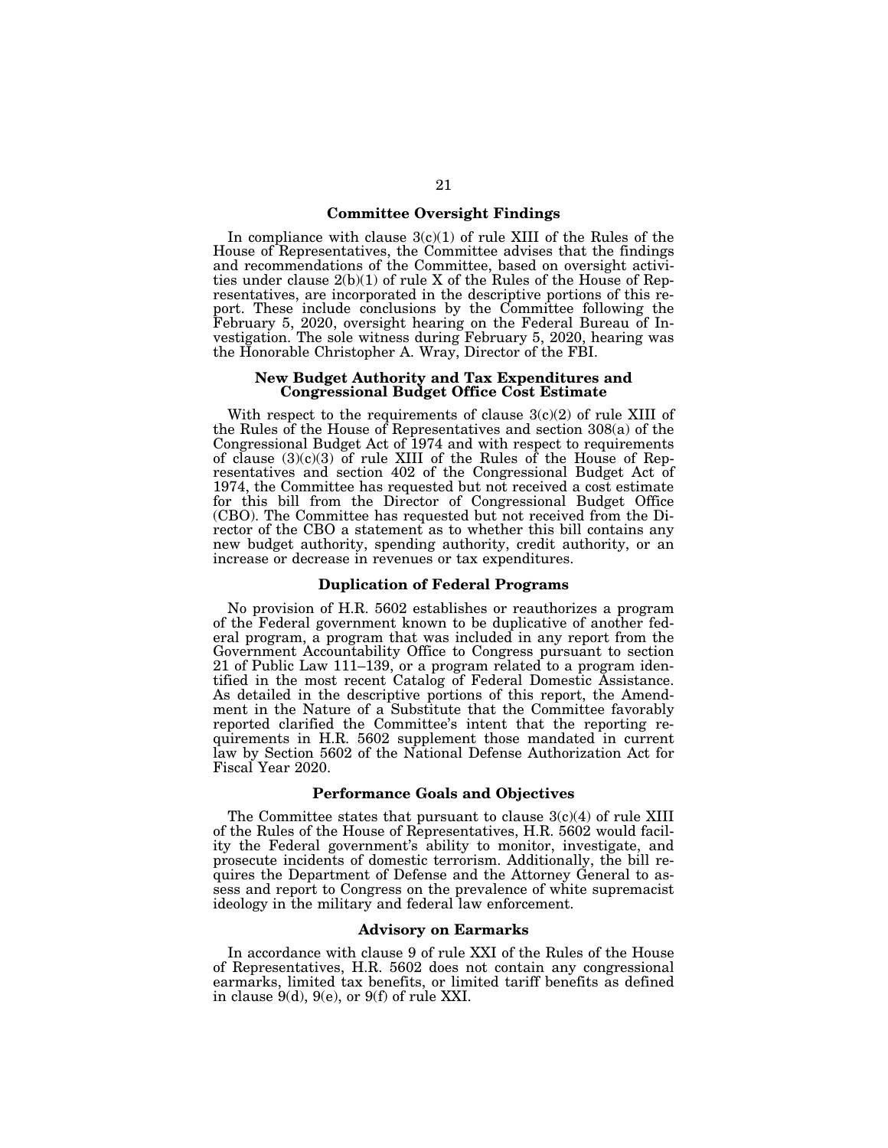### **Committee Oversight Findings**

In compliance with clause  $3(c)(1)$  of rule XIII of the Rules of the House of Representatives, the Committee advises that the findings and recommendations of the Committee, based on oversight activities under clause 2(b)(1) of rule X of the Rules of the House of Representatives, are incorporated in the descriptive portions of this report. These include conclusions by the Committee following the February 5, 2020, oversight hearing on the Federal Bureau of Investigation. The sole witness during February 5, 2020, hearing was the Honorable Christopher A. Wray, Director of the FBI.

### **New Budget Authority and Tax Expenditures and Congressional Budget Office Cost Estimate**

With respect to the requirements of clause  $3(c)(2)$  of rule XIII of the Rules of the House of Representatives and section 308(a) of the Congressional Budget Act of 1974 and with respect to requirements of clause (3)(c)(3) of rule XIII of the Rules of the House of Representatives and section 402 of the Congressional Budget Act of 1974, the Committee has requested but not received a cost estimate for this bill from the Director of Congressional Budget Office (CBO). The Committee has requested but not received from the Director of the CBO a statement as to whether this bill contains any new budget authority, spending authority, credit authority, or an increase or decrease in revenues or tax expenditures.

### **Duplication of Federal Programs**

No provision of H.R. 5602 establishes or reauthorizes a program of the Federal government known to be duplicative of another federal program, a program that was included in any report from the Government Accountability Office to Congress pursuant to section 21 of Public Law 111–139, or a program related to a program identified in the most recent Catalog of Federal Domestic Assistance. As detailed in the descriptive portions of this report, the Amendment in the Nature of a Substitute that the Committee favorably reported clarified the Committee's intent that the reporting requirements in H.R. 5602 supplement those mandated in current law by Section 5602 of the National Defense Authorization Act for Fiscal Year 2020.

### **Performance Goals and Objectives**

The Committee states that pursuant to clause  $3(c)(4)$  of rule XIII of the Rules of the House of Representatives, H.R. 5602 would facility the Federal government's ability to monitor, investigate, and prosecute incidents of domestic terrorism. Additionally, the bill requires the Department of Defense and the Attorney General to assess and report to Congress on the prevalence of white supremacist ideology in the military and federal law enforcement.

### **Advisory on Earmarks**

In accordance with clause 9 of rule XXI of the Rules of the House of Representatives, H.R. 5602 does not contain any congressional earmarks, limited tax benefits, or limited tariff benefits as defined in clause  $9(d)$ ,  $9(e)$ , or  $9(f)$  of rule XXI.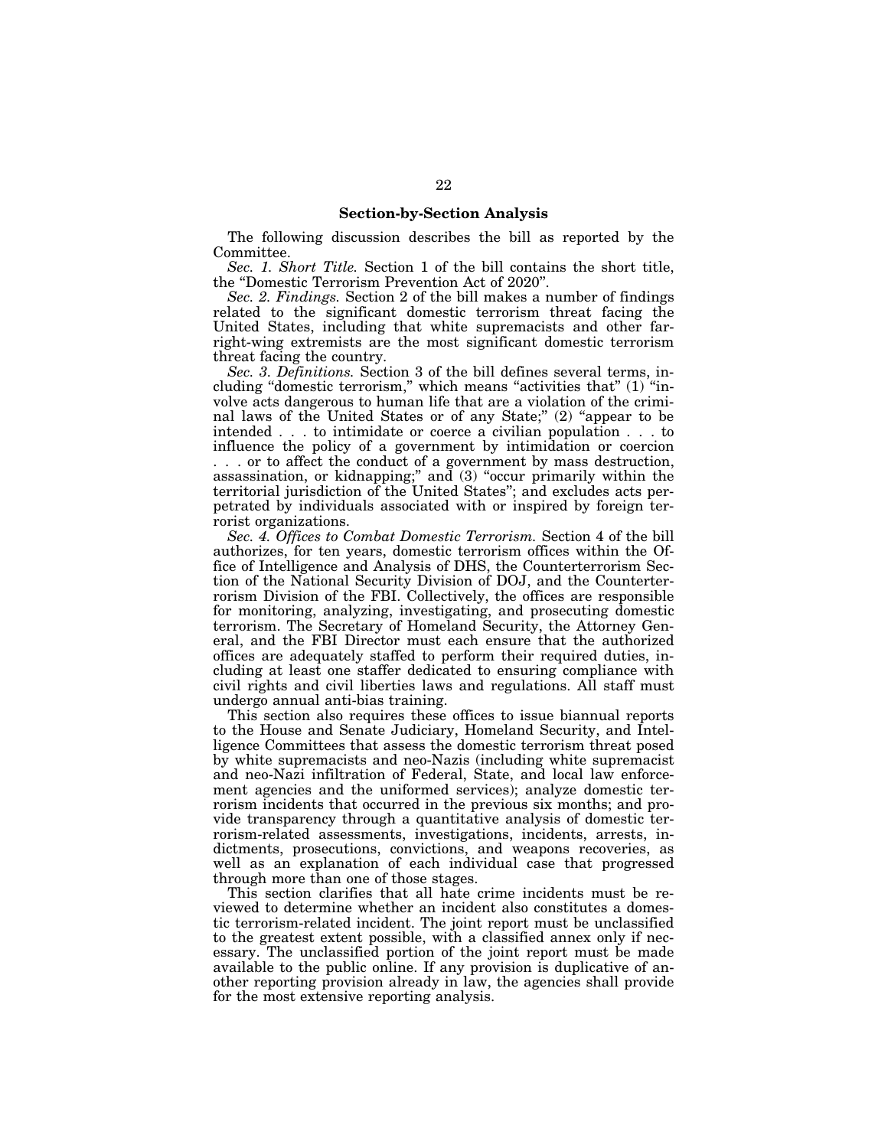### **Section-by-Section Analysis**

The following discussion describes the bill as reported by the Committee.

*Sec. 1. Short Title.* Section 1 of the bill contains the short title, the ''Domestic Terrorism Prevention Act of 2020''.

*Sec. 2. Findings.* Section 2 of the bill makes a number of findings related to the significant domestic terrorism threat facing the United States, including that white supremacists and other farright-wing extremists are the most significant domestic terrorism threat facing the country.

*Sec. 3. Definitions.* Section 3 of the bill defines several terms, including "domestic terrorism," which means "activities that" (1) "involve acts dangerous to human life that are a violation of the criminal laws of the United States or of any State;" (2) "appear to be intended . . . to intimidate or coerce a civilian population . . . to influence the policy of a government by intimidation or coercion . . . or to affect the conduct of a government by mass destruction, assassination, or kidnapping;'' and (3) ''occur primarily within the territorial jurisdiction of the United States''; and excludes acts perpetrated by individuals associated with or inspired by foreign terrorist organizations.

*Sec. 4. Offices to Combat Domestic Terrorism.* Section 4 of the bill authorizes, for ten years, domestic terrorism offices within the Office of Intelligence and Analysis of DHS, the Counterterrorism Section of the National Security Division of DOJ, and the Counterterrorism Division of the FBI. Collectively, the offices are responsible for monitoring, analyzing, investigating, and prosecuting domestic terrorism. The Secretary of Homeland Security, the Attorney General, and the FBI Director must each ensure that the authorized offices are adequately staffed to perform their required duties, including at least one staffer dedicated to ensuring compliance with civil rights and civil liberties laws and regulations. All staff must undergo annual anti-bias training.

This section also requires these offices to issue biannual reports to the House and Senate Judiciary, Homeland Security, and Intelligence Committees that assess the domestic terrorism threat posed by white supremacists and neo-Nazis (including white supremacist and neo-Nazi infiltration of Federal, State, and local law enforcement agencies and the uniformed services); analyze domestic terrorism incidents that occurred in the previous six months; and provide transparency through a quantitative analysis of domestic terrorism-related assessments, investigations, incidents, arrests, indictments, prosecutions, convictions, and weapons recoveries, as well as an explanation of each individual case that progressed through more than one of those stages.

This section clarifies that all hate crime incidents must be reviewed to determine whether an incident also constitutes a domestic terrorism-related incident. The joint report must be unclassified to the greatest extent possible, with a classified annex only if necessary. The unclassified portion of the joint report must be made available to the public online. If any provision is duplicative of another reporting provision already in law, the agencies shall provide for the most extensive reporting analysis.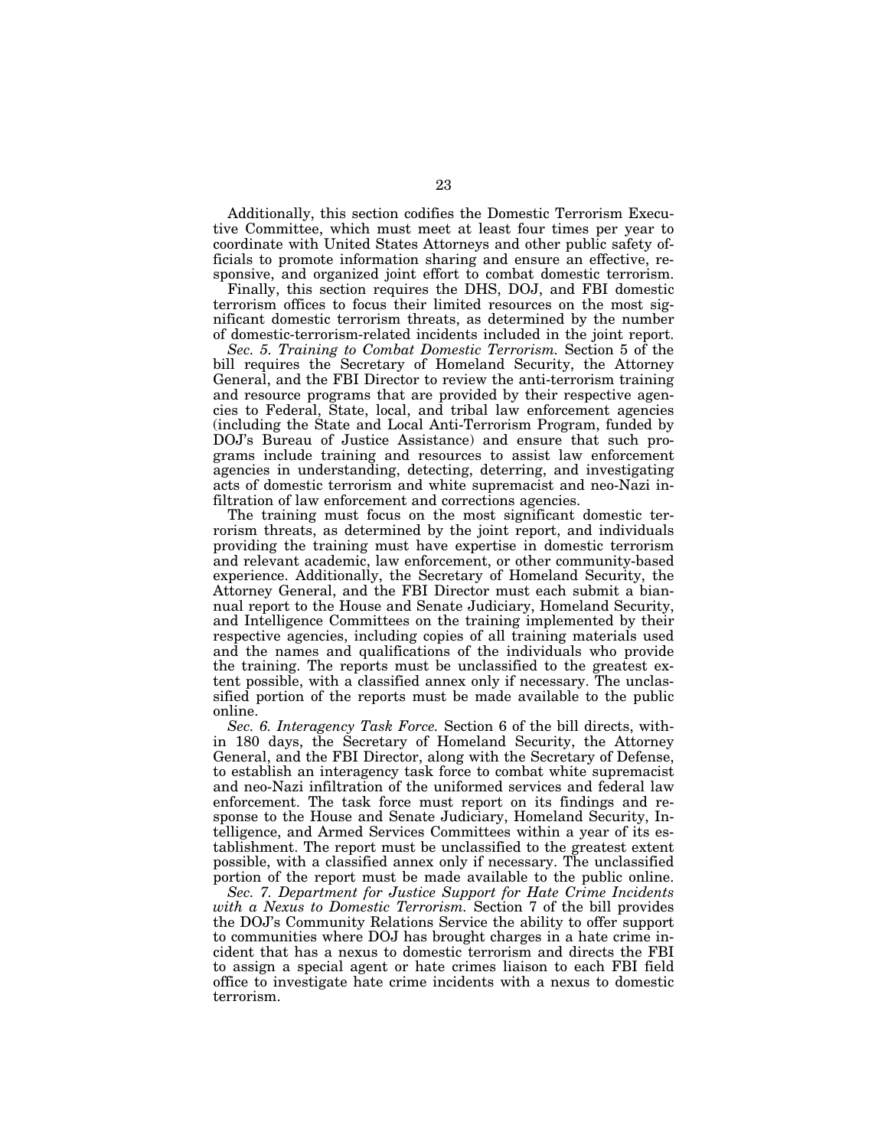Additionally, this section codifies the Domestic Terrorism Executive Committee, which must meet at least four times per year to coordinate with United States Attorneys and other public safety officials to promote information sharing and ensure an effective, responsive, and organized joint effort to combat domestic terrorism.

Finally, this section requires the DHS, DOJ, and FBI domestic terrorism offices to focus their limited resources on the most significant domestic terrorism threats, as determined by the number of domestic-terrorism-related incidents included in the joint report.

*Sec. 5. Training to Combat Domestic Terrorism.* Section 5 of the bill requires the Secretary of Homeland Security, the Attorney General, and the FBI Director to review the anti-terrorism training and resource programs that are provided by their respective agencies to Federal, State, local, and tribal law enforcement agencies (including the State and Local Anti-Terrorism Program, funded by DOJ's Bureau of Justice Assistance) and ensure that such programs include training and resources to assist law enforcement agencies in understanding, detecting, deterring, and investigating acts of domestic terrorism and white supremacist and neo-Nazi infiltration of law enforcement and corrections agencies.

The training must focus on the most significant domestic terrorism threats, as determined by the joint report, and individuals providing the training must have expertise in domestic terrorism and relevant academic, law enforcement, or other community-based experience. Additionally, the Secretary of Homeland Security, the Attorney General, and the FBI Director must each submit a biannual report to the House and Senate Judiciary, Homeland Security, and Intelligence Committees on the training implemented by their respective agencies, including copies of all training materials used and the names and qualifications of the individuals who provide the training. The reports must be unclassified to the greatest extent possible, with a classified annex only if necessary. The unclassified portion of the reports must be made available to the public online.

*Sec. 6. Interagency Task Force.* Section 6 of the bill directs, within 180 days, the Secretary of Homeland Security, the Attorney General, and the FBI Director, along with the Secretary of Defense, to establish an interagency task force to combat white supremacist and neo-Nazi infiltration of the uniformed services and federal law enforcement. The task force must report on its findings and response to the House and Senate Judiciary, Homeland Security, Intelligence, and Armed Services Committees within a year of its establishment. The report must be unclassified to the greatest extent possible, with a classified annex only if necessary. The unclassified portion of the report must be made available to the public online.

*Sec. 7. Department for Justice Support for Hate Crime Incidents with a Nexus to Domestic Terrorism.* Section 7 of the bill provides the DOJ's Community Relations Service the ability to offer support to communities where DOJ has brought charges in a hate crime incident that has a nexus to domestic terrorism and directs the FBI to assign a special agent or hate crimes liaison to each FBI field office to investigate hate crime incidents with a nexus to domestic terrorism.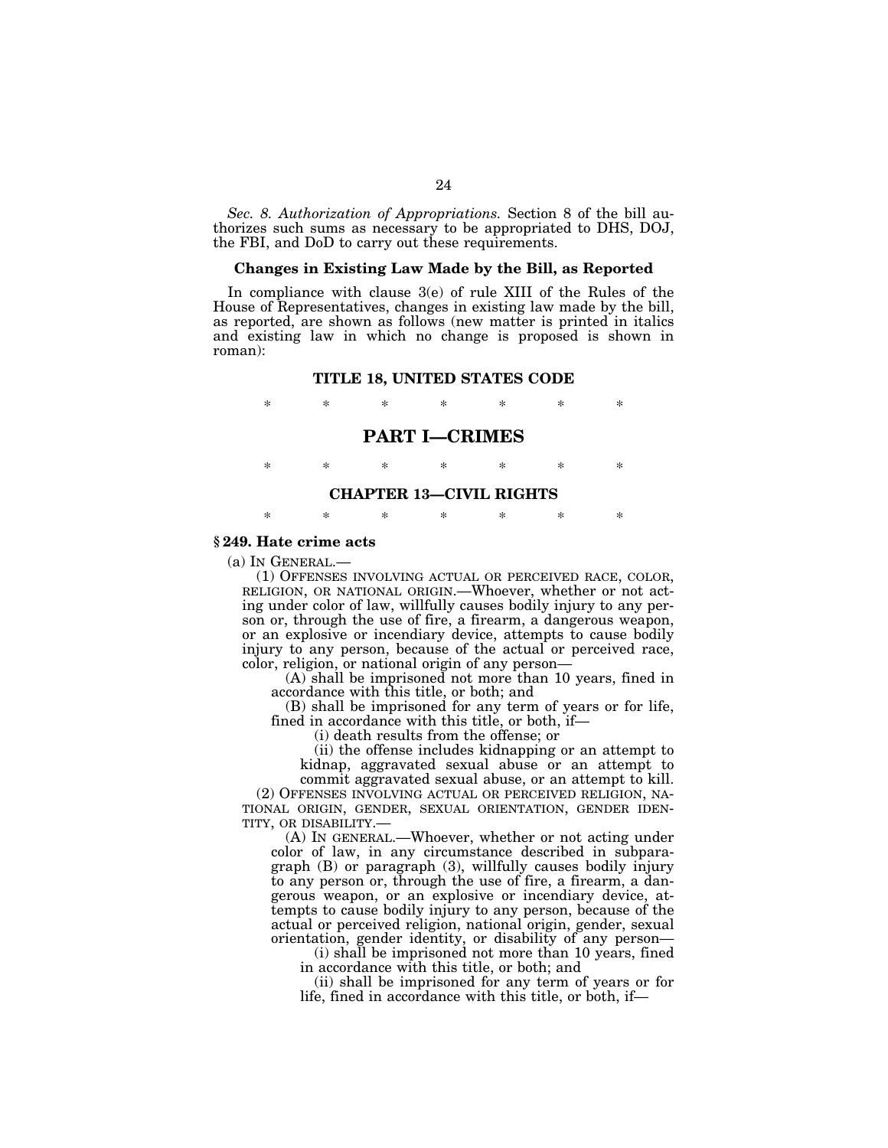*Sec. 8. Authorization of Appropriations.* Section 8 of the bill authorizes such sums as necessary to be appropriated to DHS, DOJ, the FBI, and DoD to carry out these requirements.

### **Changes in Existing Law Made by the Bill, as Reported**

In compliance with clause 3(e) of rule XIII of the Rules of the House of Representatives, changes in existing law made by the bill, as reported, are shown as follows (new matter is printed in italics and existing law in which no change is proposed is shown in roman):

### **TITLE 18, UNITED STATES CODE**

\* \* \* \* \* \* \*

### **PART I—CRIMES**

\* \* \* \* \* \* \*

### **CHAPTER 13—CIVIL RIGHTS**

\* \* \* \* \* \* \*

### **§ 249. Hate crime acts**

(a) IN GENERAL.— (1) OFFENSES INVOLVING ACTUAL OR PERCEIVED RACE, COLOR, RELIGION, OR NATIONAL ORIGIN.—Whoever, whether or not acting under color of law, willfully causes bodily injury to any person or, through the use of fire, a firearm, a dangerous weapon, or an explosive or incendiary device, attempts to cause bodily injury to any person, because of the actual or perceived race, color, religion, or national origin of any person—

(A) shall be imprisoned not more than 10 years, fined in accordance with this title, or both; and

(B) shall be imprisoned for any term of years or for life, fined in accordance with this title, or both, if—

(i) death results from the offense; or

(ii) the offense includes kidnapping or an attempt to kidnap, aggravated sexual abuse or an attempt to

commit aggravated sexual abuse, or an attempt to kill. (2) OFFENSES INVOLVING ACTUAL OR PERCEIVED RELIGION, NA-TIONAL ORIGIN, GENDER, SEXUAL ORIENTATION, GENDER IDEN-TITY, OR DISABILITY.—

(A) IN GENERAL.—Whoever, whether or not acting under color of law, in any circumstance described in subparagraph (B) or paragraph (3), willfully causes bodily injury to any person or, through the use of fire, a firearm, a dangerous weapon, or an explosive or incendiary device, attempts to cause bodily injury to any person, because of the actual or perceived religion, national origin, gender, sexual orientation, gender identity, or disability of any person—

(i) shall be imprisoned not more than 10 years, fined in accordance with this title, or both; and

(ii) shall be imprisoned for any term of years or for life, fined in accordance with this title, or both, if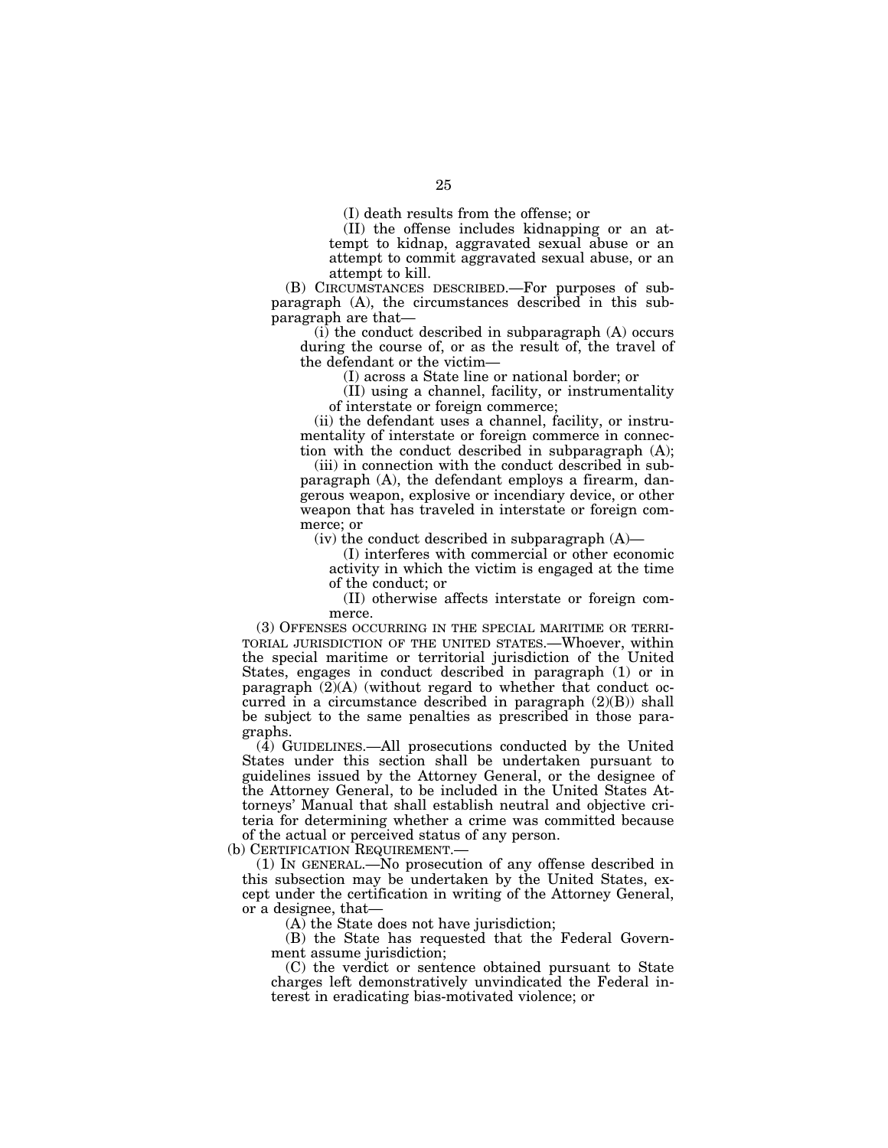(I) death results from the offense; or

(II) the offense includes kidnapping or an attempt to kidnap, aggravated sexual abuse or an attempt to commit aggravated sexual abuse, or an attempt to kill.

(B) CIRCUMSTANCES DESCRIBED.—For purposes of subparagraph (A), the circumstances described in this subparagraph are that—

 $(i)$  the conduct described in subparagraph  $(A)$  occurs during the course of, or as the result of, the travel of the defendant or the victim—

(I) across a State line or national border; or

(II) using a channel, facility, or instrumentality of interstate or foreign commerce;

(ii) the defendant uses a channel, facility, or instrumentality of interstate or foreign commerce in connection with the conduct described in subparagraph (A);

(iii) in connection with the conduct described in subparagraph (A), the defendant employs a firearm, dangerous weapon, explosive or incendiary device, or other weapon that has traveled in interstate or foreign commerce: or

(iv) the conduct described in subparagraph  $(A)$ —

(I) interferes with commercial or other economic activity in which the victim is engaged at the time of the conduct; or

(II) otherwise affects interstate or foreign commerce.

(3) OFFENSES OCCURRING IN THE SPECIAL MARITIME OR TERRI-TORIAL JURISDICTION OF THE UNITED STATES.—Whoever, within the special maritime or territorial jurisdiction of the United States, engages in conduct described in paragraph (1) or in paragraph (2)(A) (without regard to whether that conduct occurred in a circumstance described in paragraph (2)(B)) shall be subject to the same penalties as prescribed in those paragraphs.

(4) GUIDELINES.—All prosecutions conducted by the United States under this section shall be undertaken pursuant to guidelines issued by the Attorney General, or the designee of the Attorney General, to be included in the United States Attorneys' Manual that shall establish neutral and objective criteria for determining whether a crime was committed because of the actual or perceived status of any person.

(b) CERTIFICATION REQUIREMENT.—

(1) IN GENERAL.—No prosecution of any offense described in this subsection may be undertaken by the United States, except under the certification in writing of the Attorney General, or a designee, that—

(A) the State does not have jurisdiction;

(B) the State has requested that the Federal Government assume jurisdiction:

(C) the verdict or sentence obtained pursuant to State charges left demonstratively unvindicated the Federal interest in eradicating bias-motivated violence; or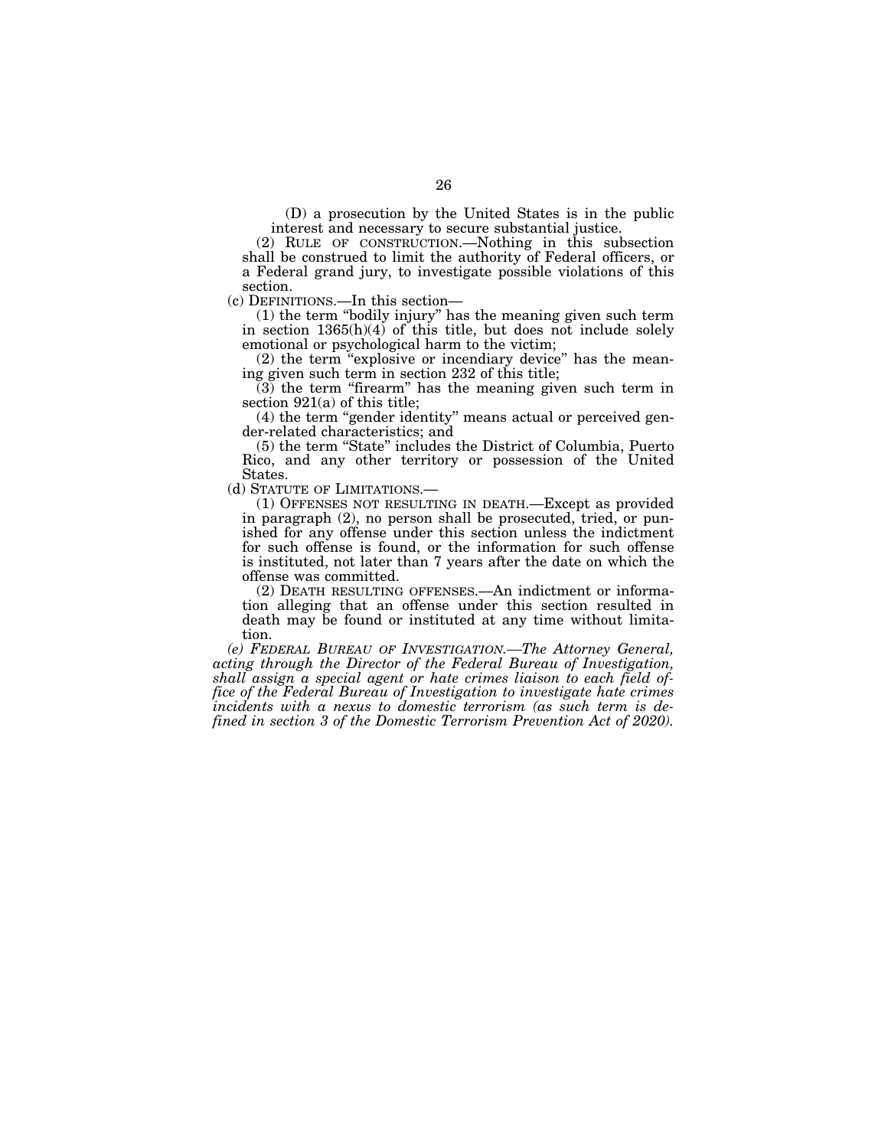(D) a prosecution by the United States is in the public interest and necessary to secure substantial justice.

(2) RULE OF CONSTRUCTION.—Nothing in this subsection shall be construed to limit the authority of Federal officers, or a Federal grand jury, to investigate possible violations of this section.

(c) DEFINITIONS.—In this section—

(1) the term ''bodily injury'' has the meaning given such term in section 1365(h)(4) of this title, but does not include solely emotional or psychological harm to the victim;

(2) the term "explosive or incendiary device" has the meaning given such term in section 232 of this title;

 $(3)$  the term "firearm" has the meaning given such term in section 921(a) of this title;

(4) the term ''gender identity'' means actual or perceived gender-related characteristics; and

(5) the term ''State'' includes the District of Columbia, Puerto Rico, and any other territory or possession of the United States.

(d) STATUTE OF LIMITATIONS.—

(1) OFFENSES NOT RESULTING IN DEATH.—Except as provided in paragraph (2), no person shall be prosecuted, tried, or punished for any offense under this section unless the indictment for such offense is found, or the information for such offense is instituted, not later than 7 years after the date on which the offense was committed.

(2) DEATH RESULTING OFFENSES.—An indictment or information alleging that an offense under this section resulted in death may be found or instituted at any time without limitation.

*(e) FEDERAL BUREAU OF INVESTIGATION.—The Attorney General, acting through the Director of the Federal Bureau of Investigation, shall assign a special agent or hate crimes liaison to each field office of the Federal Bureau of Investigation to investigate hate crimes incidents with a nexus to domestic terrorism (as such term is defined in section 3 of the Domestic Terrorism Prevention Act of 2020).*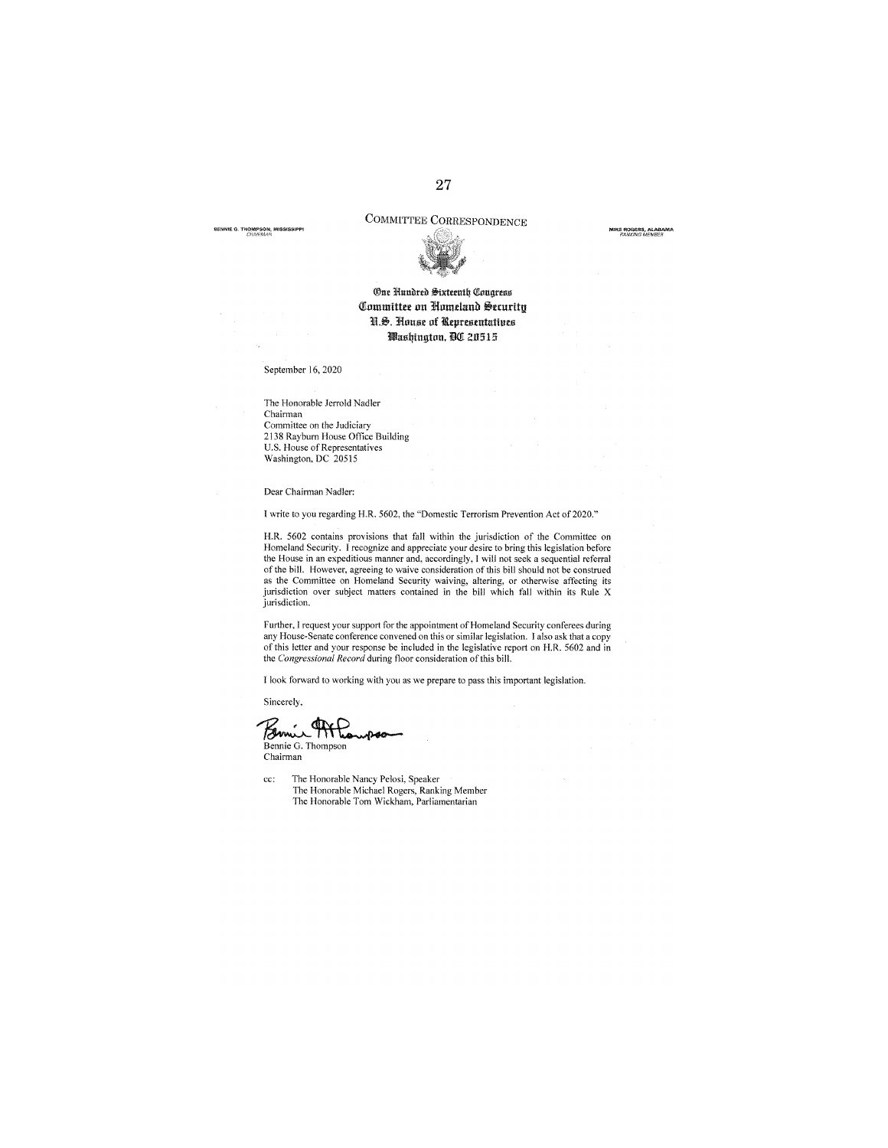## COMMITTEE CORRESPONDENCE

**MIKE ROGERS, ALABAMA**<br>FANKING MEMBER

**61'cNNIE G THOMPSON, MISSISSIPPI**  *CliNi/i\>JAN* 



### **One Hundred Sixteenth Congress Committee on Homeland Security N.S. House of Representatives lllllusljtugtuu, lOOl 2Il 515**

September 16, 2020

The Honorable Jerrold Nadler **Chairman**  Committee on the Judiciary 2138 Rayburn House Office Building U.S. House of Representatives Washington, DC 20515

Dear Chairman Nadler:

I write to you regarding H.R. 5602, the ''Domestic Terrorism Prevention Act of2020."

H.R. 5602 contains provisions that fall within the jurisdiction of the Committee on Homeland Security. I recognize and appreciate your desire to bring this legislation before the House in an expeditious manner and, accordingly, I will not seek a sequential referral of the bill. However, agreeing to waive consideration of this bill should not be construed as the Committee on Homeland Security waiving, altering, or otherwise affecting its jurisdiction over subject matters contained in the bill which fall within its Rule X jurisdiction.

Further, I request your support for the appointment of Homeland Security conferees during<br>any House-Senate conference convened on this or similar legislation. I also ask that a copy<br>of this letter and your response be incl the *Congressional Record* during floor consideration of this bill.

l look forward to working with you as we prepare to pass this important legislation.

Sincerely,

Sincerely.<br>Binnie G. Thompson

Chairman

cc: The Honorable Nancy Pelosi, Speaker The Honorable Michael Rogers, Ranking Member The Honorable Tom Wickham, Parliamentarian